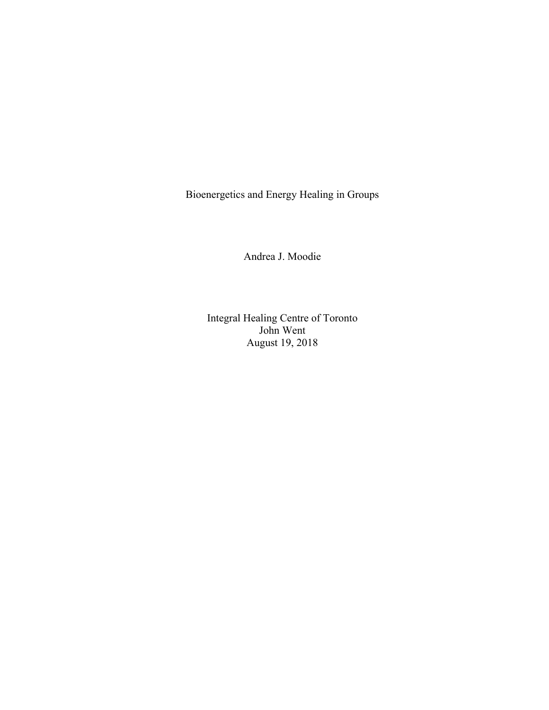Bioenergetics and Energy Healing in Groups

Andrea J. Moodie

Integral Healing Centre of Toronto John Went August 19, 2018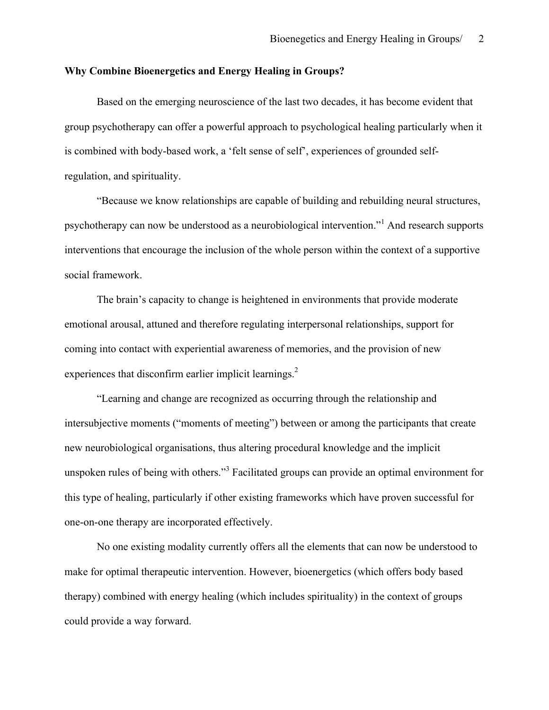## **Why Combine Bioenergetics and Energy Healing in Groups?**

Based on the emerging neuroscience of the last two decades, it has become evident that group psychotherapy can offer a powerful approach to psychological healing particularly when it is combined with body-based work, a 'felt sense of self', experiences of grounded selfregulation, and spirituality.

"Because we know relationships are capable of building and rebuilding neural structures, psychotherapy can now be understood as a neurobiological intervention."<sup>1</sup> And research supports interventions that encourage the inclusion of the whole person within the context of a supportive social framework.

The brain's capacity to change is heightened in environments that provide moderate emotional arousal, attuned and therefore regulating interpersonal relationships, support for coming into contact with experiential awareness of memories, and the provision of new experiences that disconfirm earlier implicit learnings.<sup>2</sup>

"Learning and change are recognized as occurring through the relationship and intersubjective moments ("moments of meeting") between or among the participants that create new neurobiological organisations, thus altering procedural knowledge and the implicit unspoken rules of being with others."<sup>3</sup> Facilitated groups can provide an optimal environment for this type of healing, particularly if other existing frameworks which have proven successful for one-on-one therapy are incorporated effectively.

No one existing modality currently offers all the elements that can now be understood to make for optimal therapeutic intervention. However, bioenergetics (which offers body based therapy) combined with energy healing (which includes spirituality) in the context of groups could provide a way forward.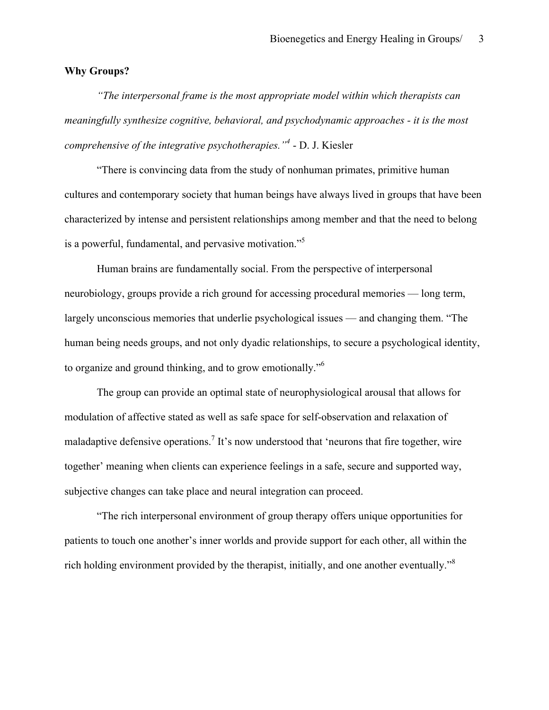## **Why Groups?**

*"The interpersonal frame is the most appropriate model within which therapists can meaningfully synthesize cognitive, behavioral, and psychodynamic approaches - it is the most comprehensive of the integrative psychotherapies."<sup>4</sup>* - D. J. Kiesler

"There is convincing data from the study of nonhuman primates, primitive human cultures and contemporary society that human beings have always lived in groups that have been characterized by intense and persistent relationships among member and that the need to belong is a powerful, fundamental, and pervasive motivation.<sup>55</sup>

Human brains are fundamentally social. From the perspective of interpersonal neurobiology, groups provide a rich ground for accessing procedural memories — long term, largely unconscious memories that underlie psychological issues — and changing them. "The human being needs groups, and not only dyadic relationships, to secure a psychological identity, to organize and ground thinking, and to grow emotionally."<sup>6</sup>

The group can provide an optimal state of neurophysiological arousal that allows for modulation of affective stated as well as safe space for self-observation and relaxation of maladaptive defensive operations.<sup>7</sup> It's now understood that 'neurons that fire together, wire together' meaning when clients can experience feelings in a safe, secure and supported way, subjective changes can take place and neural integration can proceed.

"The rich interpersonal environment of group therapy offers unique opportunities for patients to touch one another's inner worlds and provide support for each other, all within the rich holding environment provided by the therapist, initially, and one another eventually."<sup>8</sup>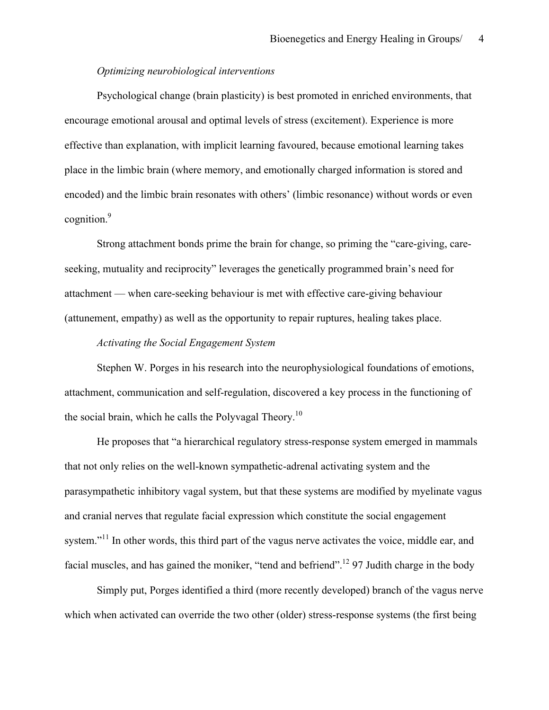### *Optimizing neurobiological interventions*

Psychological change (brain plasticity) is best promoted in enriched environments, that encourage emotional arousal and optimal levels of stress (excitement). Experience is more effective than explanation, with implicit learning favoured, because emotional learning takes place in the limbic brain (where memory, and emotionally charged information is stored and encoded) and the limbic brain resonates with others' (limbic resonance) without words or even cognition.<sup>9</sup>

Strong attachment bonds prime the brain for change, so priming the "care-giving, careseeking, mutuality and reciprocity" leverages the genetically programmed brain's need for attachment — when care-seeking behaviour is met with effective care-giving behaviour (attunement, empathy) as well as the opportunity to repair ruptures, healing takes place.

#### *Activating the Social Engagement System*

Stephen W. Porges in his research into the neurophysiological foundations of emotions, attachment, communication and self-regulation, discovered a key process in the functioning of the social brain, which he calls the Polyvagal Theory.<sup>10</sup>

He proposes that "a hierarchical regulatory stress-response system emerged in mammals that not only relies on the well-known sympathetic-adrenal activating system and the parasympathetic inhibitory vagal system, but that these systems are modified by myelinate vagus and cranial nerves that regulate facial expression which constitute the social engagement system."<sup>11</sup> In other words, this third part of the vagus nerve activates the voice, middle ear, and facial muscles, and has gained the moniker, "tend and befriend".<sup>12</sup> 97 Judith charge in the body

Simply put, Porges identified a third (more recently developed) branch of the vagus nerve which when activated can override the two other (older) stress-response systems (the first being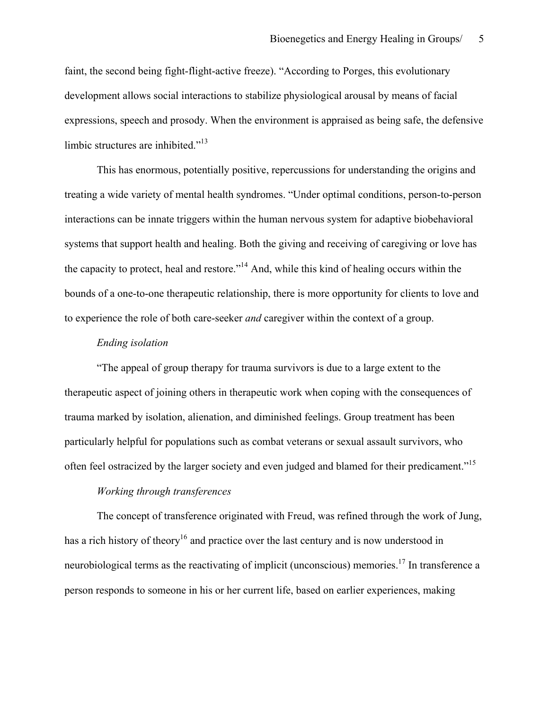faint, the second being fight-flight-active freeze). "According to Porges, this evolutionary development allows social interactions to stabilize physiological arousal by means of facial expressions, speech and prosody. When the environment is appraised as being safe, the defensive limbic structures are inhibited."<sup>13</sup>

This has enormous, potentially positive, repercussions for understanding the origins and treating a wide variety of mental health syndromes. "Under optimal conditions, person-to-person interactions can be innate triggers within the human nervous system for adaptive biobehavioral systems that support health and healing. Both the giving and receiving of caregiving or love has the capacity to protect, heal and restore."14 And, while this kind of healing occurs within the bounds of a one-to-one therapeutic relationship, there is more opportunity for clients to love and to experience the role of both care-seeker *and* caregiver within the context of a group.

#### *Ending isolation*

"The appeal of group therapy for trauma survivors is due to a large extent to the therapeutic aspect of joining others in therapeutic work when coping with the consequences of trauma marked by isolation, alienation, and diminished feelings. Group treatment has been particularly helpful for populations such as combat veterans or sexual assault survivors, who often feel ostracized by the larger society and even judged and blamed for their predicament."<sup>15</sup>

## *Working through transferences*

The concept of transference originated with Freud, was refined through the work of Jung, has a rich history of theory<sup>16</sup> and practice over the last century and is now understood in neurobiological terms as the reactivating of implicit (unconscious) memories.<sup>17</sup> In transference a person responds to someone in his or her current life, based on earlier experiences, making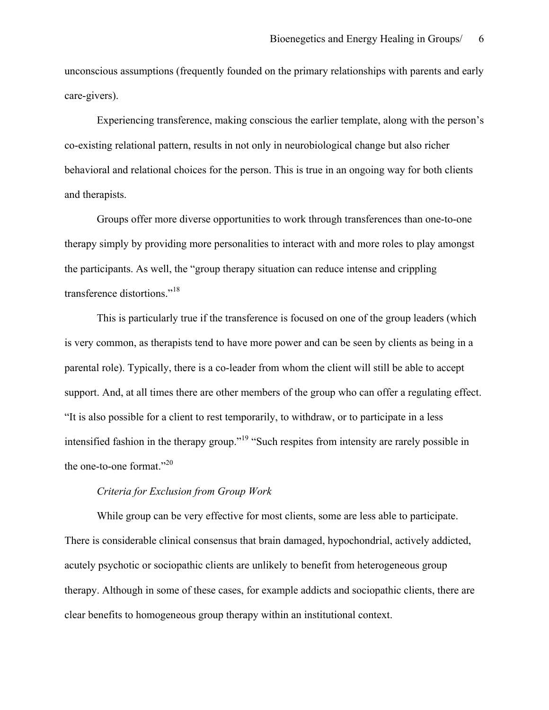unconscious assumptions (frequently founded on the primary relationships with parents and early care-givers).

Experiencing transference, making conscious the earlier template, along with the person's co-existing relational pattern, results in not only in neurobiological change but also richer behavioral and relational choices for the person. This is true in an ongoing way for both clients and therapists.

Groups offer more diverse opportunities to work through transferences than one-to-one therapy simply by providing more personalities to interact with and more roles to play amongst the participants. As well, the "group therapy situation can reduce intense and crippling transference distortions."<sup>18</sup>

This is particularly true if the transference is focused on one of the group leaders (which is very common, as therapists tend to have more power and can be seen by clients as being in a parental role). Typically, there is a co-leader from whom the client will still be able to accept support. And, at all times there are other members of the group who can offer a regulating effect. "It is also possible for a client to rest temporarily, to withdraw, or to participate in a less intensified fashion in the therapy group."<sup>19</sup> "Such respites from intensity are rarely possible in the one-to-one format."<sup>20</sup>

## *Criteria for Exclusion from Group Work*

While group can be very effective for most clients, some are less able to participate. There is considerable clinical consensus that brain damaged, hypochondrial, actively addicted, acutely psychotic or sociopathic clients are unlikely to benefit from heterogeneous group therapy. Although in some of these cases, for example addicts and sociopathic clients, there are clear benefits to homogeneous group therapy within an institutional context.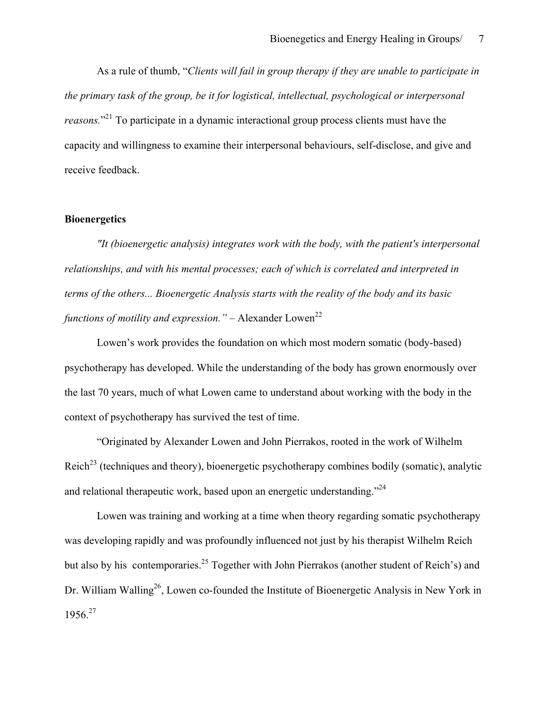As a rule of thumb, "*Clients will fail in group therapy if they are unable to participate in the primary task of the group, be it for logistical, intellectual, psychological or interpersonal*  reasons."<sup>21</sup> To participate in a dynamic interactional group process clients must have the capacity and willingness to examine their interpersonal behaviours, self-disclose, and give and receive feedback.

## **Bioenergetics**

*"It (bioenergetic analysis) integrates work with the body, with the patient's interpersonal relationships, and with his mental processes; each of which is correlated and interpreted in terms of the others... Bioenergetic Analysis starts with the reality of the body and its basic functions of motility and expression.* " $-$  Alexander Lowen<sup>22</sup>

Lowen's work provides the foundation on which most modern somatic (body-based) psychotherapy has developed. While the understanding of the body has grown enormously over the last 70 years, much of what Lowen came to understand about working with the body in the context of psychotherapy has survived the test of time.

"Originated by Alexander Lowen and John Pierrakos, rooted in the work of Wilhelm Reich<sup>23</sup> (techniques and theory), bioenergetic psychotherapy combines bodily (somatic), analytic and relational therapeutic work, based upon an energetic understanding.<sup>224</sup>

Lowen was training and working at a time when theory regarding somatic psychotherapy was developing rapidly and was profoundly influenced not just by his therapist Wilhelm Reich but also by his contemporaries.<sup>25</sup> Together with John Pierrakos (another student of Reich's) and Dr. William Walling<sup>26</sup>, Lowen co-founded the Institute of Bioenergetic Analysis in New York in 1956<sup>27</sup>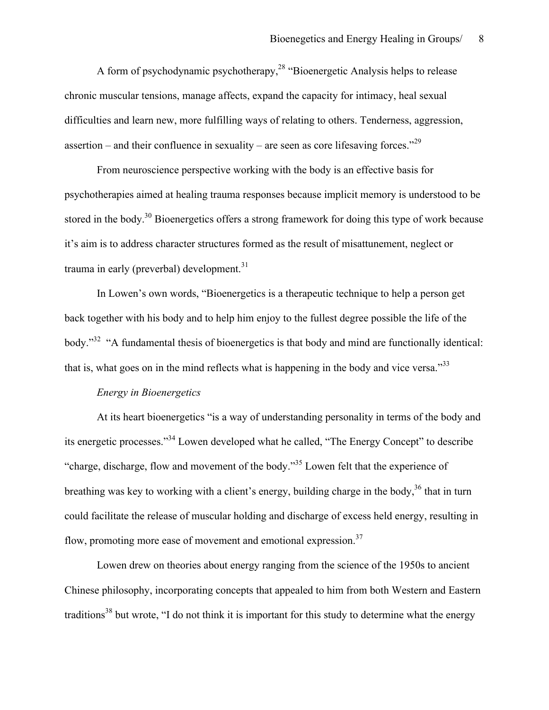A form of psychodynamic psychotherapy,<sup>28</sup> "Bioenergetic Analysis helps to release chronic muscular tensions, manage affects, expand the capacity for intimacy, heal sexual difficulties and learn new, more fulfilling ways of relating to others. Tenderness, aggression, assertion – and their confluence in sexuality – are seen as core lifesaving forces."<sup>29</sup>

From neuroscience perspective working with the body is an effective basis for psychotherapies aimed at healing trauma responses because implicit memory is understood to be stored in the body.<sup>30</sup> Bioenergetics offers a strong framework for doing this type of work because it's aim is to address character structures formed as the result of misattunement, neglect or trauma in early (preverbal) development.<sup>31</sup>

In Lowen's own words, "Bioenergetics is a therapeutic technique to help a person get back together with his body and to help him enjoy to the fullest degree possible the life of the body."32 "A fundamental thesis of bioenergetics is that body and mind are functionally identical: that is, what goes on in the mind reflects what is happening in the body and vice versa."<sup>33</sup>

#### *Energy in Bioenergetics*

At its heart bioenergetics "is a way of understanding personality in terms of the body and its energetic processes."<sup>34</sup> Lowen developed what he called, "The Energy Concept" to describe "charge, discharge, flow and movement of the body."<sup>35</sup> Lowen felt that the experience of breathing was key to working with a client's energy, building charge in the body,<sup>36</sup> that in turn could facilitate the release of muscular holding and discharge of excess held energy, resulting in flow, promoting more ease of movement and emotional expression.<sup>37</sup>

Lowen drew on theories about energy ranging from the science of the 1950s to ancient Chinese philosophy, incorporating concepts that appealed to him from both Western and Eastern traditions<sup>38</sup> but wrote, "I do not think it is important for this study to determine what the energy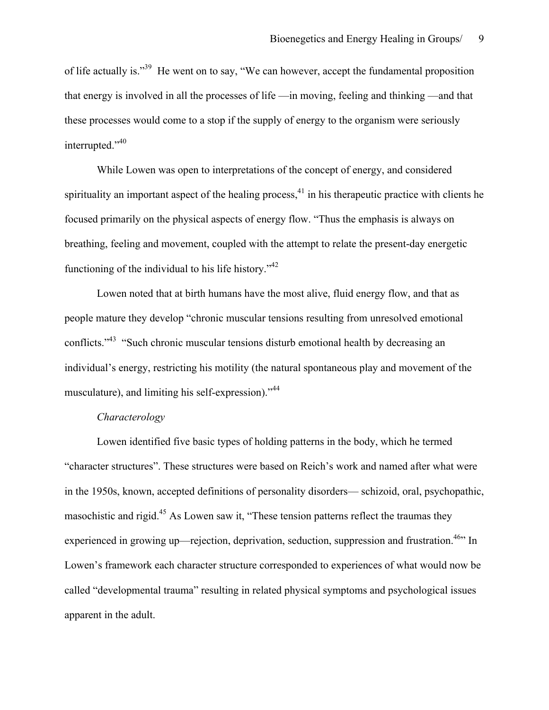of life actually is."39 He went on to say, "We can however, accept the fundamental proposition that energy is involved in all the processes of life —in moving, feeling and thinking —and that these processes would come to a stop if the supply of energy to the organism were seriously interrupted."40

While Lowen was open to interpretations of the concept of energy, and considered spirituality an important aspect of the healing process, $^{41}$  in his therapeutic practice with clients he focused primarily on the physical aspects of energy flow. "Thus the emphasis is always on breathing, feeling and movement, coupled with the attempt to relate the present-day energetic functioning of the individual to his life history.<sup> $1/42$ </sup>

Lowen noted that at birth humans have the most alive, fluid energy flow, and that as people mature they develop "chronic muscular tensions resulting from unresolved emotional conflicts."<sup>43</sup> "Such chronic muscular tensions disturb emotional health by decreasing an individual's energy, restricting his motility (the natural spontaneous play and movement of the musculature), and limiting his self-expression)."<sup>44</sup>

### *Characterology*

Lowen identified five basic types of holding patterns in the body, which he termed "character structures". These structures were based on Reich's work and named after what were in the 1950s, known, accepted definitions of personality disorders— schizoid, oral, psychopathic, masochistic and rigid.<sup>45</sup> As Lowen saw it, "These tension patterns reflect the traumas they experienced in growing up—rejection, deprivation, seduction, suppression and frustration.<sup>46</sup> In Lowen's framework each character structure corresponded to experiences of what would now be called "developmental trauma" resulting in related physical symptoms and psychological issues apparent in the adult.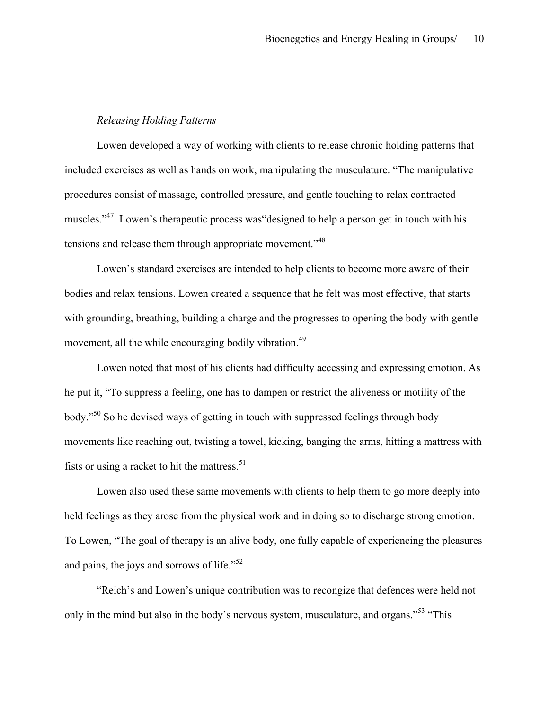### *Releasing Holding Patterns*

Lowen developed a way of working with clients to release chronic holding patterns that included exercises as well as hands on work, manipulating the musculature. "The manipulative procedures consist of massage, controlled pressure, and gentle touching to relax contracted muscles."<sup>47</sup> Lowen's therapeutic process was designed to help a person get in touch with his tensions and release them through appropriate movement.<sup>"48</sup>

Lowen's standard exercises are intended to help clients to become more aware of their bodies and relax tensions. Lowen created a sequence that he felt was most effective, that starts with grounding, breathing, building a charge and the progresses to opening the body with gentle movement, all the while encouraging bodily vibration.<sup>49</sup>

Lowen noted that most of his clients had difficulty accessing and expressing emotion. As he put it, "To suppress a feeling, one has to dampen or restrict the aliveness or motility of the body."<sup>50</sup> So he devised ways of getting in touch with suppressed feelings through body movements like reaching out, twisting a towel, kicking, banging the arms, hitting a mattress with fists or using a racket to hit the mattress. $51$ 

Lowen also used these same movements with clients to help them to go more deeply into held feelings as they arose from the physical work and in doing so to discharge strong emotion. To Lowen, "The goal of therapy is an alive body, one fully capable of experiencing the pleasures and pains, the joys and sorrows of life." $52$ 

"Reich's and Lowen's unique contribution was to recongize that defences were held not only in the mind but also in the body's nervous system, musculature, and organs."<sup>53</sup> "This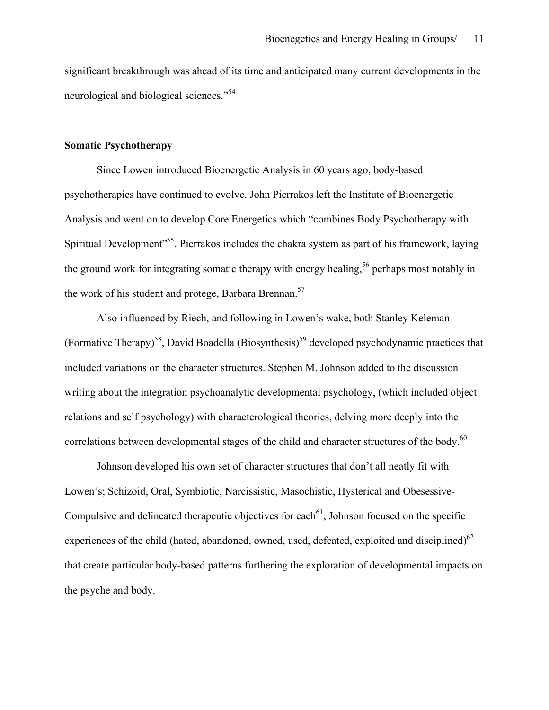significant breakthrough was ahead of its time and anticipated many current developments in the neurological and biological sciences."<sup>54</sup>

### **Somatic Psychotherapy**

Since Lowen introduced Bioenergetic Analysis in 60 years ago, body-based psychotherapies have continued to evolve. John Pierrakos left the Institute of Bioenergetic Analysis and went on to develop Core Energetics which "combines Body Psychotherapy with Spiritual Development<sup>555</sup>. Pierrakos includes the chakra system as part of his framework, laying the ground work for integrating somatic therapy with energy healing,<sup>56</sup> perhaps most notably in the work of his student and protege, Barbara Brennan.<sup>57</sup>

Also influenced by Riech, and following in Lowen's wake, both Stanley Keleman (Formative Therapy)<sup>58</sup>, David Boadella (Biosynthesis)<sup>59</sup> developed psychodynamic practices that included variations on the character structures. Stephen M. Johnson added to the discussion writing about the integration psychoanalytic developmental psychology, (which included object relations and self psychology) with characterological theories, delving more deeply into the correlations between developmental stages of the child and character structures of the body.<sup>60</sup>

Johnson developed his own set of character structures that don't all neatly fit with Lowen's; Schizoid, Oral, Symbiotic, Narcissistic, Masochistic, Hysterical and Obesessive-Compulsive and delineated therapeutic objectives for each<sup> $61$ </sup>, Johnson focused on the specific experiences of the child (hated, abandoned, owned, used, defeated, exploited and disciplined) $62$ that create particular body-based patterns furthering the exploration of developmental impacts on the psyche and body.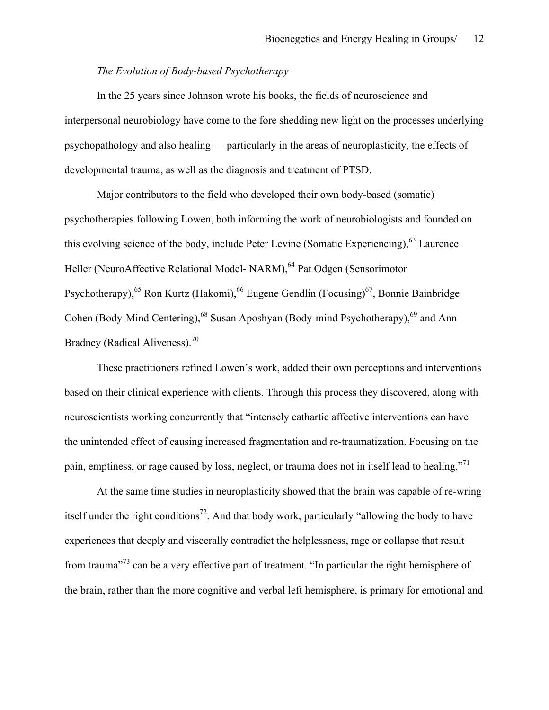### *The Evolution of Body-based Psychotherapy*

In the 25 years since Johnson wrote his books, the fields of neuroscience and interpersonal neurobiology have come to the fore shedding new light on the processes underlying psychopathology and also healing — particularly in the areas of neuroplasticity, the effects of developmental trauma, as well as the diagnosis and treatment of PTSD.

Major contributors to the field who developed their own body-based (somatic) psychotherapies following Lowen, both informing the work of neurobiologists and founded on this evolving science of the body, include Peter Levine (Somatic Experiencing),<sup>63</sup> Laurence Heller (NeuroAffective Relational Model- NARM), <sup>64</sup> Pat Odgen (Sensorimotor Psychotherapy),  $^{65}$  Ron Kurtz (Hakomi),  $^{66}$  Eugene Gendlin (Focusing) $^{67}$ , Bonnie Bainbridge Cohen (Body-Mind Centering),  $^{68}$  Susan Aposhyan (Body-mind Psychotherapy),  $^{69}$  and Ann Bradney (Radical Aliveness).<sup>70</sup>

These practitioners refined Lowen's work, added their own perceptions and interventions based on their clinical experience with clients. Through this process they discovered, along with neuroscientists working concurrently that "intensely cathartic affective interventions can have the unintended effect of causing increased fragmentation and re-traumatization. Focusing on the pain, emptiness, or rage caused by loss, neglect, or trauma does not in itself lead to healing."<sup>71</sup>

At the same time studies in neuroplasticity showed that the brain was capable of re-wring itself under the right conditions<sup>72</sup>. And that body work, particularly "allowing the body to have experiences that deeply and viscerally contradict the helplessness, rage or collapse that result from trauma"<sup>73</sup> can be a very effective part of treatment. "In particular the right hemisphere of the brain, rather than the more cognitive and verbal left hemisphere, is primary for emotional and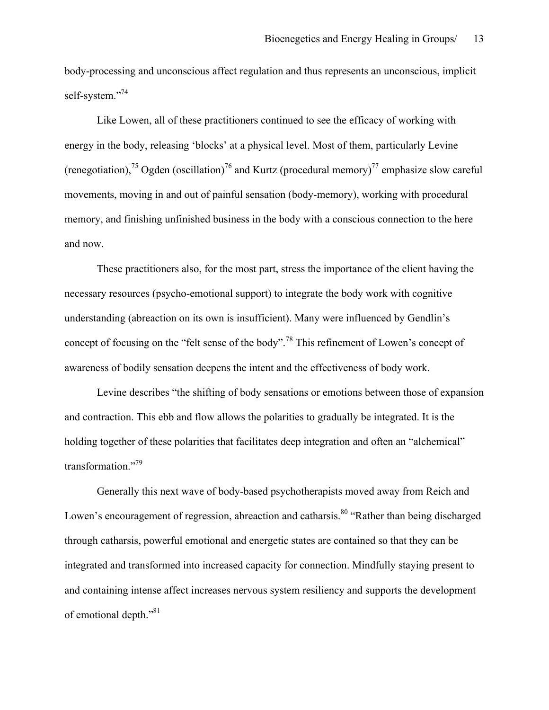body-processing and unconscious affect regulation and thus represents an unconscious, implicit self-system."<sup>74</sup>

Like Lowen, all of these practitioners continued to see the efficacy of working with energy in the body, releasing 'blocks' at a physical level. Most of them, particularly Levine (renegotiation),<sup>75</sup> Ogden (oscillation)<sup>76</sup> and Kurtz (procedural memory)<sup>77</sup> emphasize slow careful movements, moving in and out of painful sensation (body-memory), working with procedural memory, and finishing unfinished business in the body with a conscious connection to the here and now.

These practitioners also, for the most part, stress the importance of the client having the necessary resources (psycho-emotional support) to integrate the body work with cognitive understanding (abreaction on its own is insufficient). Many were influenced by Gendlin's concept of focusing on the "felt sense of the body".<sup>78</sup> This refinement of Lowen's concept of awareness of bodily sensation deepens the intent and the effectiveness of body work.

Levine describes "the shifting of body sensations or emotions between those of expansion and contraction. This ebb and flow allows the polarities to gradually be integrated. It is the holding together of these polarities that facilitates deep integration and often an "alchemical" transformation."79

Generally this next wave of body-based psychotherapists moved away from Reich and Lowen's encouragement of regression, abreaction and catharsis.<sup>80</sup> "Rather than being discharged through catharsis, powerful emotional and energetic states are contained so that they can be integrated and transformed into increased capacity for connection. Mindfully staying present to and containing intense affect increases nervous system resiliency and supports the development of emotional depth."<sup>81</sup>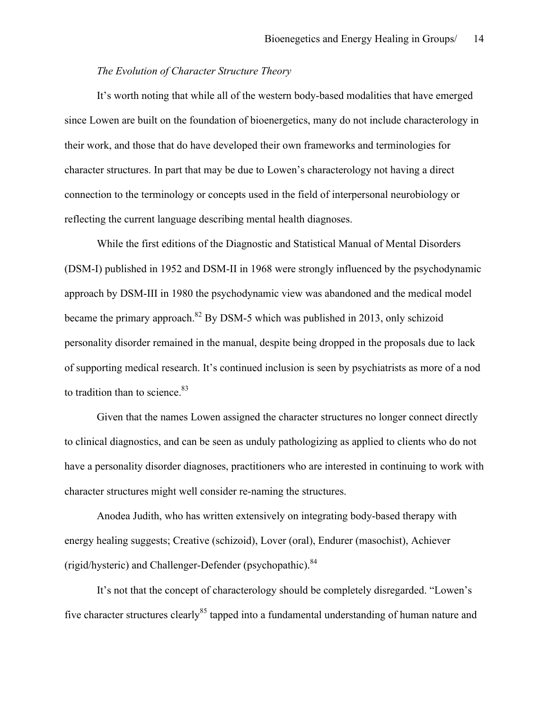### *The Evolution of Character Structure Theory*

It's worth noting that while all of the western body-based modalities that have emerged since Lowen are built on the foundation of bioenergetics, many do not include characterology in their work, and those that do have developed their own frameworks and terminologies for character structures. In part that may be due to Lowen's characterology not having a direct connection to the terminology or concepts used in the field of interpersonal neurobiology or reflecting the current language describing mental health diagnoses.

While the first editions of the Diagnostic and Statistical Manual of Mental Disorders (DSM-I) published in 1952 and DSM-II in 1968 were strongly influenced by the psychodynamic approach by DSM-III in 1980 the psychodynamic view was abandoned and the medical model became the primary approach.<sup>82</sup> By DSM-5 which was published in 2013, only schizoid personality disorder remained in the manual, despite being dropped in the proposals due to lack of supporting medical research. It's continued inclusion is seen by psychiatrists as more of a nod to tradition than to science. $83$ 

Given that the names Lowen assigned the character structures no longer connect directly to clinical diagnostics, and can be seen as unduly pathologizing as applied to clients who do not have a personality disorder diagnoses, practitioners who are interested in continuing to work with character structures might well consider re-naming the structures.

Anodea Judith, who has written extensively on integrating body-based therapy with energy healing suggests; Creative (schizoid), Lover (oral), Endurer (masochist), Achiever (rigid/hysteric) and Challenger-Defender (psychopathic).84

It's not that the concept of characterology should be completely disregarded. "Lowen's five character structures clearly<sup>85</sup> tapped into a fundamental understanding of human nature and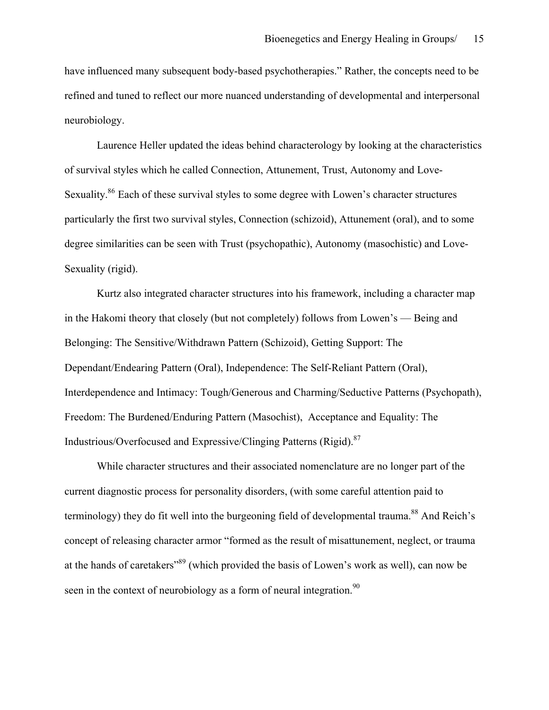have influenced many subsequent body-based psychotherapies." Rather, the concepts need to be refined and tuned to reflect our more nuanced understanding of developmental and interpersonal neurobiology.

Laurence Heller updated the ideas behind characterology by looking at the characteristics of survival styles which he called Connection, Attunement, Trust, Autonomy and Love-Sexuality.<sup>86</sup> Each of these survival styles to some degree with Lowen's character structures particularly the first two survival styles, Connection (schizoid), Attunement (oral), and to some degree similarities can be seen with Trust (psychopathic), Autonomy (masochistic) and Love-Sexuality (rigid).

Kurtz also integrated character structures into his framework, including a character map in the Hakomi theory that closely (but not completely) follows from Lowen's — Being and Belonging: The Sensitive/Withdrawn Pattern (Schizoid), Getting Support: The Dependant/Endearing Pattern (Oral), Independence: The Self-Reliant Pattern (Oral), Interdependence and Intimacy: Tough/Generous and Charming/Seductive Patterns (Psychopath), Freedom: The Burdened/Enduring Pattern (Masochist), Acceptance and Equality: The Industrious/Overfocused and Expressive/Clinging Patterns (Rigid).<sup>87</sup>

While character structures and their associated nomenclature are no longer part of the current diagnostic process for personality disorders, (with some careful attention paid to terminology) they do fit well into the burgeoning field of developmental trauma.<sup>88</sup> And Reich's concept of releasing character armor "formed as the result of misattunement, neglect, or trauma at the hands of caretakers"89 (which provided the basis of Lowen's work as well), can now be seen in the context of neurobiology as a form of neural integration.<sup>90</sup>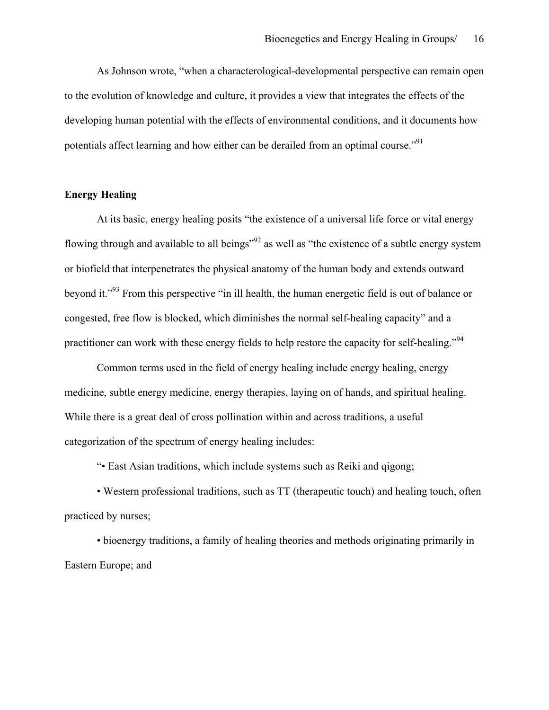As Johnson wrote, "when a characterological-developmental perspective can remain open to the evolution of knowledge and culture, it provides a view that integrates the effects of the developing human potential with the effects of environmental conditions, and it documents how potentials affect learning and how either can be derailed from an optimal course."91

## **Energy Healing**

At its basic, energy healing posits "the existence of a universal life force or vital energy flowing through and available to all beings<sup>"92</sup> as well as "the existence of a subtle energy system" or biofield that interpenetrates the physical anatomy of the human body and extends outward beyond it."93 From this perspective "in ill health, the human energetic field is out of balance or congested, free flow is blocked, which diminishes the normal self-healing capacity" and a practitioner can work with these energy fields to help restore the capacity for self-healing."<sup>94</sup>

Common terms used in the field of energy healing include energy healing, energy medicine, subtle energy medicine, energy therapies, laying on of hands, and spiritual healing. While there is a great deal of cross pollination within and across traditions, a useful categorization of the spectrum of energy healing includes:

"• East Asian traditions, which include systems such as Reiki and qigong;

• Western professional traditions, such as TT (therapeutic touch) and healing touch, often practiced by nurses;

• bioenergy traditions, a family of healing theories and methods originating primarily in Eastern Europe; and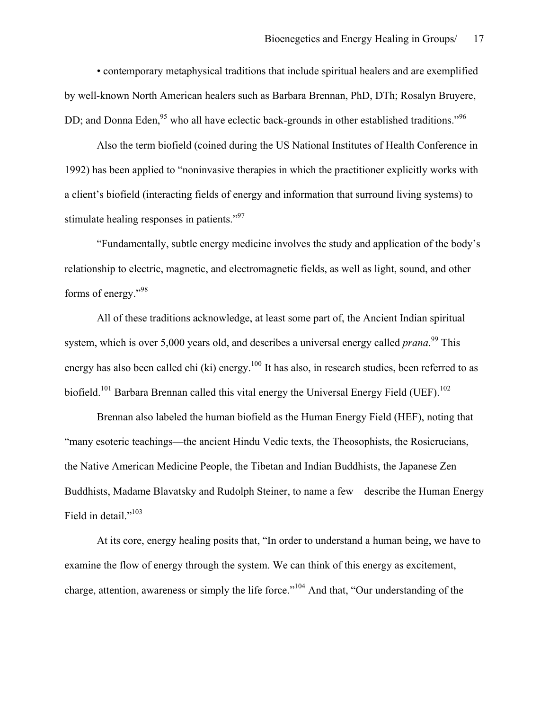• contemporary metaphysical traditions that include spiritual healers and are exemplified by well-known North American healers such as Barbara Brennan, PhD, DTh; Rosalyn Bruyere, DD; and Donna Eden,  $95$  who all have eclectic back-grounds in other established traditions."<sup>96</sup>

Also the term biofield (coined during the US National Institutes of Health Conference in 1992) has been applied to "noninvasive therapies in which the practitioner explicitly works with a client's biofield (interacting fields of energy and information that surround living systems) to stimulate healing responses in patients."<sup>97</sup>

"Fundamentally, subtle energy medicine involves the study and application of the body's relationship to electric, magnetic, and electromagnetic fields, as well as light, sound, and other forms of energy."<sup>98</sup>

All of these traditions acknowledge, at least some part of, the Ancient Indian spiritual system, which is over 5,000 years old, and describes a universal energy called *prana*.<sup>99</sup> This energy has also been called chi (ki) energy.<sup>100</sup> It has also, in research studies, been referred to as biofield.<sup>101</sup> Barbara Brennan called this vital energy the Universal Energy Field (UEF).<sup>102</sup>

Brennan also labeled the human biofield as the Human Energy Field (HEF), noting that "many esoteric teachings—the ancient Hindu Vedic texts, the Theosophists, the Rosicrucians, the Native American Medicine People, the Tibetan and Indian Buddhists, the Japanese Zen Buddhists, Madame Blavatsky and Rudolph Steiner, to name a few—describe the Human Energy Field in detail."<sup>103</sup>

At its core, energy healing posits that, "In order to understand a human being, we have to examine the flow of energy through the system. We can think of this energy as excitement, charge, attention, awareness or simply the life force."104 And that, "Our understanding of the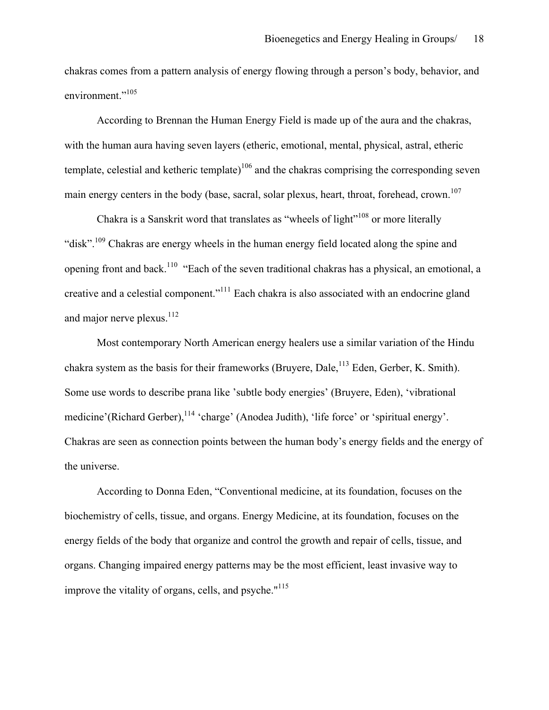chakras comes from a pattern analysis of energy flowing through a person's body, behavior, and environment."<sup>105</sup>

According to Brennan the Human Energy Field is made up of the aura and the chakras, with the human aura having seven layers (etheric, emotional, mental, physical, astral, etheric template, celestial and ketheric template)<sup>106</sup> and the chakras comprising the corresponding seven main energy centers in the body (base, sacral, solar plexus, heart, throat, forehead, crown.<sup>107</sup>

Chakra is a Sanskrit word that translates as "wheels of light"<sup>108</sup> or more literally "disk".<sup>109</sup> Chakras are energy wheels in the human energy field located along the spine and opening front and back.<sup>110</sup> "Each of the seven traditional chakras has a physical, an emotional, a creative and a celestial component."111 Each chakra is also associated with an endocrine gland and major nerve plexus. $^{112}$ 

Most contemporary North American energy healers use a similar variation of the Hindu chakra system as the basis for their frameworks (Bruyere, Dale,  $^{113}$  Eden, Gerber, K. Smith). Some use words to describe prana like 'subtle body energies' (Bruyere, Eden), 'vibrational medicine'(Richard Gerber), <sup>114</sup> 'charge' (Anodea Judith), 'life force' or 'spiritual energy'. Chakras are seen as connection points between the human body's energy fields and the energy of the universe.

According to Donna Eden, "Conventional medicine, at its foundation, focuses on the biochemistry of cells, tissue, and organs. Energy Medicine, at its foundation, focuses on the energy fields of the body that organize and control the growth and repair of cells, tissue, and organs. Changing impaired energy patterns may be the most efficient, least invasive way to improve the vitality of organs, cells, and psyche. $115$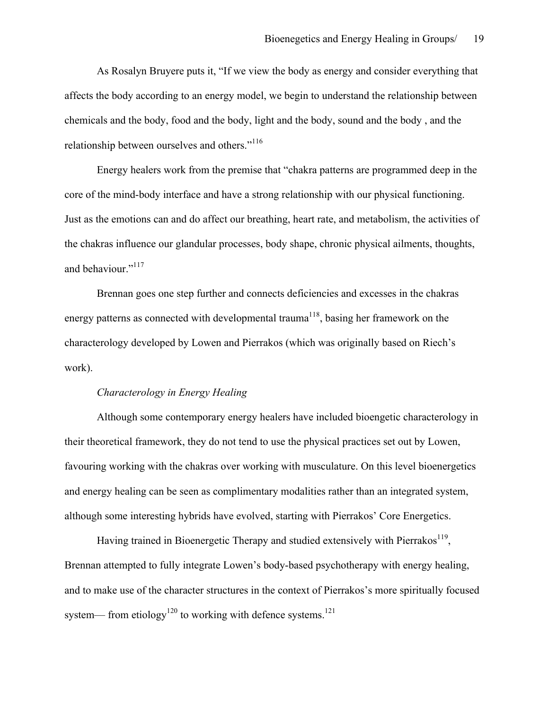As Rosalyn Bruyere puts it, "If we view the body as energy and consider everything that affects the body according to an energy model, we begin to understand the relationship between chemicals and the body, food and the body, light and the body, sound and the body , and the relationship between ourselves and others."<sup>116</sup>

Energy healers work from the premise that "chakra patterns are programmed deep in the core of the mind-body interface and have a strong relationship with our physical functioning. Just as the emotions can and do affect our breathing, heart rate, and metabolism, the activities of the chakras influence our glandular processes, body shape, chronic physical ailments, thoughts, and behaviour."<sup>117</sup>

Brennan goes one step further and connects deficiencies and excesses in the chakras energy patterns as connected with developmental trauma<sup>118</sup>, basing her framework on the characterology developed by Lowen and Pierrakos (which was originally based on Riech's work).

### *Characterology in Energy Healing*

Although some contemporary energy healers have included bioengetic characterology in their theoretical framework, they do not tend to use the physical practices set out by Lowen, favouring working with the chakras over working with musculature. On this level bioenergetics and energy healing can be seen as complimentary modalities rather than an integrated system, although some interesting hybrids have evolved, starting with Pierrakos' Core Energetics.

Having trained in Bioenergetic Therapy and studied extensively with Pierrakos<sup>119</sup>, Brennan attempted to fully integrate Lowen's body-based psychotherapy with energy healing, and to make use of the character structures in the context of Pierrakos's more spiritually focused system— from etiology<sup>120</sup> to working with defence systems.<sup>121</sup>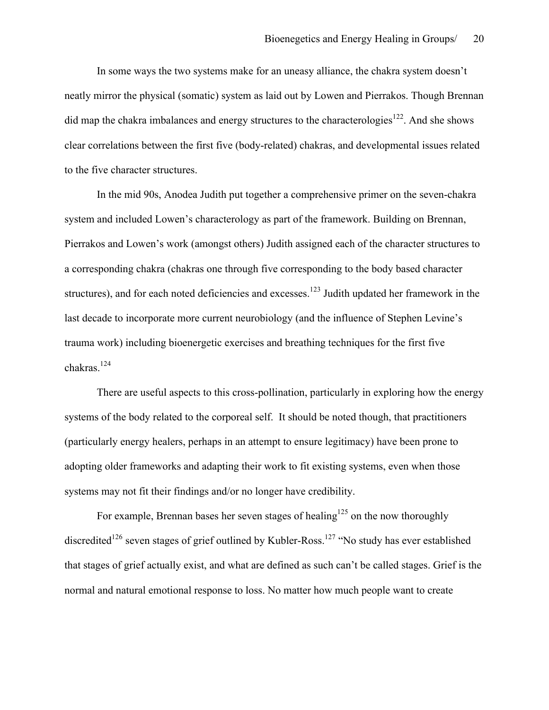In some ways the two systems make for an uneasy alliance, the chakra system doesn't neatly mirror the physical (somatic) system as laid out by Lowen and Pierrakos. Though Brennan did map the chakra imbalances and energy structures to the characterologies<sup>122</sup>. And she shows clear correlations between the first five (body-related) chakras, and developmental issues related to the five character structures.

In the mid 90s, Anodea Judith put together a comprehensive primer on the seven-chakra system and included Lowen's characterology as part of the framework. Building on Brennan, Pierrakos and Lowen's work (amongst others) Judith assigned each of the character structures to a corresponding chakra (chakras one through five corresponding to the body based character structures), and for each noted deficiencies and excesses.<sup>123</sup> Judith updated her framework in the last decade to incorporate more current neurobiology (and the influence of Stephen Levine's trauma work) including bioenergetic exercises and breathing techniques for the first five chakras.124

There are useful aspects to this cross-pollination, particularly in exploring how the energy systems of the body related to the corporeal self. It should be noted though, that practitioners (particularly energy healers, perhaps in an attempt to ensure legitimacy) have been prone to adopting older frameworks and adapting their work to fit existing systems, even when those systems may not fit their findings and/or no longer have credibility.

For example, Brennan bases her seven stages of healing<sup>125</sup> on the now thoroughly discredited<sup>126</sup> seven stages of grief outlined by Kubler-Ross.<sup>127</sup> "No study has ever established that stages of grief actually exist, and what are defined as such can't be called stages. Grief is the normal and natural emotional response to loss. No matter how much people want to create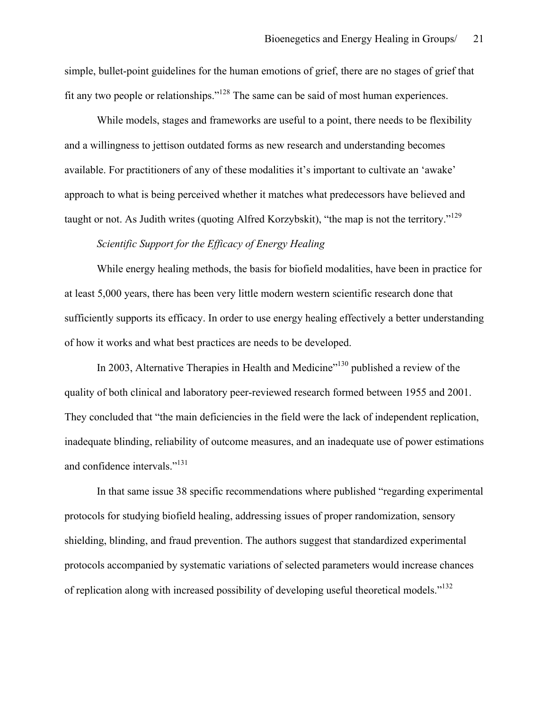simple, bullet-point guidelines for the human emotions of grief, there are no stages of grief that fit any two people or relationships."<sup>128</sup> The same can be said of most human experiences.

While models, stages and frameworks are useful to a point, there needs to be flexibility and a willingness to jettison outdated forms as new research and understanding becomes available. For practitioners of any of these modalities it's important to cultivate an 'awake' approach to what is being perceived whether it matches what predecessors have believed and taught or not. As Judith writes (quoting Alfred Korzybskit), "the map is not the territory."<sup>129</sup>

### *Scientific Support for the Efficacy of Energy Healing*

While energy healing methods, the basis for biofield modalities, have been in practice for at least 5,000 years, there has been very little modern western scientific research done that sufficiently supports its efficacy. In order to use energy healing effectively a better understanding of how it works and what best practices are needs to be developed.

In 2003, Alternative Therapies in Health and Medicine<sup>"130</sup> published a review of the quality of both clinical and laboratory peer-reviewed research formed between 1955 and 2001. They concluded that "the main deficiencies in the field were the lack of independent replication, inadequate blinding, reliability of outcome measures, and an inadequate use of power estimations and confidence intervals."<sup>131</sup>

In that same issue 38 specific recommendations where published "regarding experimental protocols for studying biofield healing, addressing issues of proper randomization, sensory shielding, blinding, and fraud prevention. The authors suggest that standardized experimental protocols accompanied by systematic variations of selected parameters would increase chances of replication along with increased possibility of developing useful theoretical models."<sup>132</sup>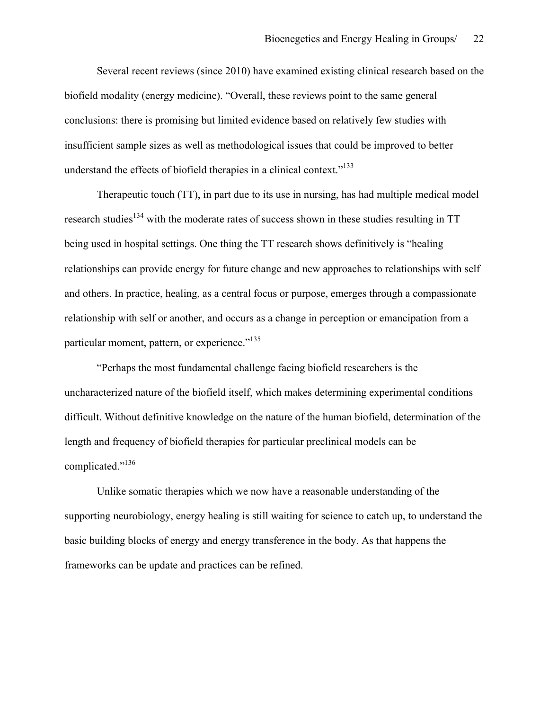Several recent reviews (since 2010) have examined existing clinical research based on the biofield modality (energy medicine). "Overall, these reviews point to the same general conclusions: there is promising but limited evidence based on relatively few studies with insufficient sample sizes as well as methodological issues that could be improved to better understand the effects of biofield therapies in a clinical context." $133$ 

Therapeutic touch (TT), in part due to its use in nursing, has had multiple medical model research studies<sup>134</sup> with the moderate rates of success shown in these studies resulting in TT being used in hospital settings. One thing the TT research shows definitively is "healing relationships can provide energy for future change and new approaches to relationships with self and others. In practice, healing, as a central focus or purpose, emerges through a compassionate relationship with self or another, and occurs as a change in perception or emancipation from a particular moment, pattern, or experience."<sup>135</sup>

"Perhaps the most fundamental challenge facing biofield researchers is the uncharacterized nature of the biofield itself, which makes determining experimental conditions difficult. Without definitive knowledge on the nature of the human biofield, determination of the length and frequency of biofield therapies for particular preclinical models can be complicated."<sup>136</sup>

Unlike somatic therapies which we now have a reasonable understanding of the supporting neurobiology, energy healing is still waiting for science to catch up, to understand the basic building blocks of energy and energy transference in the body. As that happens the frameworks can be update and practices can be refined.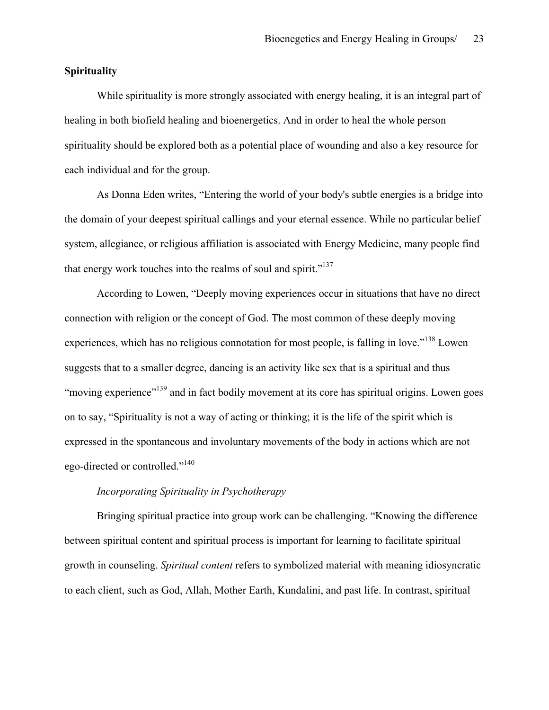### **Spirituality**

While spirituality is more strongly associated with energy healing, it is an integral part of healing in both biofield healing and bioenergetics. And in order to heal the whole person spirituality should be explored both as a potential place of wounding and also a key resource for each individual and for the group.

As Donna Eden writes, "Entering the world of your body's subtle energies is a bridge into the domain of your deepest spiritual callings and your eternal essence. While no particular belief system, allegiance, or religious affiliation is associated with Energy Medicine, many people find that energy work touches into the realms of soul and spirit."<sup>137</sup>

According to Lowen, "Deeply moving experiences occur in situations that have no direct connection with religion or the concept of God. The most common of these deeply moving experiences, which has no religious connotation for most people, is falling in love."<sup>138</sup> Lowen suggests that to a smaller degree, dancing is an activity like sex that is a spiritual and thus "moving experience"<sup>139</sup> and in fact bodily movement at its core has spiritual origins. Lowen goes on to say, "Spirituality is not a way of acting or thinking; it is the life of the spirit which is expressed in the spontaneous and involuntary movements of the body in actions which are not ego-directed or controlled."<sup>140</sup>

# *Incorporating Spirituality in Psychotherapy*

Bringing spiritual practice into group work can be challenging. "Knowing the difference between spiritual content and spiritual process is important for learning to facilitate spiritual growth in counseling. *Spiritual content* refers to symbolized material with meaning idiosyncratic to each client, such as God, Allah, Mother Earth, Kundalini, and past life. In contrast, spiritual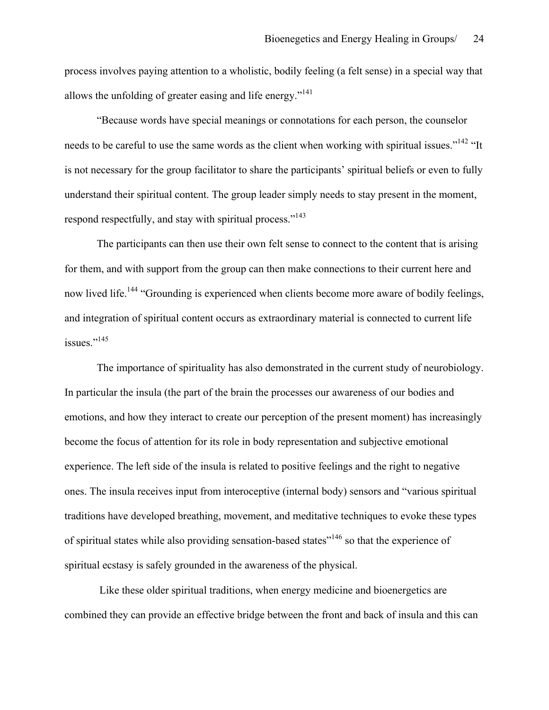process involves paying attention to a wholistic, bodily feeling (a felt sense) in a special way that allows the unfolding of greater easing and life energy."<sup>141</sup>

"Because words have special meanings or connotations for each person, the counselor needs to be careful to use the same words as the client when working with spiritual issues."<sup>142</sup> "It is not necessary for the group facilitator to share the participants' spiritual beliefs or even to fully understand their spiritual content. The group leader simply needs to stay present in the moment, respond respectfully, and stay with spiritual process."<sup>143</sup>

The participants can then use their own felt sense to connect to the content that is arising for them, and with support from the group can then make connections to their current here and now lived life.<sup>144</sup> "Grounding is experienced when clients become more aware of bodily feelings, and integration of spiritual content occurs as extraordinary material is connected to current life issues."<sup>145</sup>

The importance of spirituality has also demonstrated in the current study of neurobiology. In particular the insula (the part of the brain the processes our awareness of our bodies and emotions, and how they interact to create our perception of the present moment) has increasingly become the focus of attention for its role in body representation and subjective emotional experience. The left side of the insula is related to positive feelings and the right to negative ones. The insula receives input from interoceptive (internal body) sensors and "various spiritual traditions have developed breathing, movement, and meditative techniques to evoke these types of spiritual states while also providing sensation-based states"146 so that the experience of spiritual ecstasy is safely grounded in the awareness of the physical.

Like these older spiritual traditions, when energy medicine and bioenergetics are combined they can provide an effective bridge between the front and back of insula and this can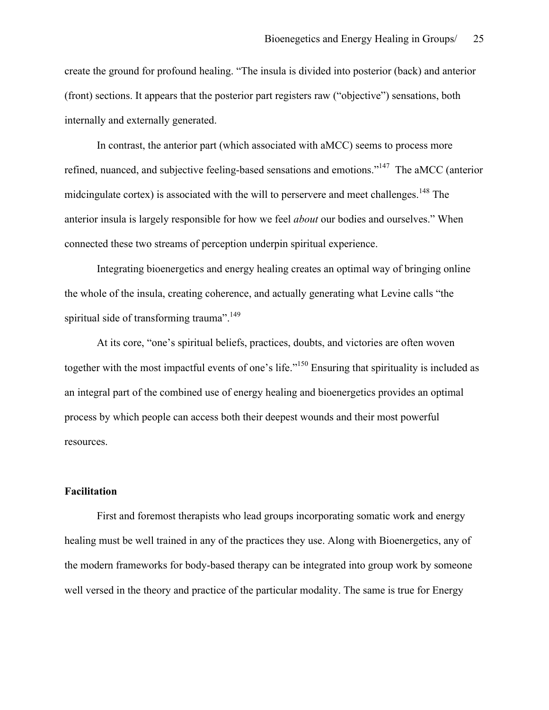create the ground for profound healing. "The insula is divided into posterior (back) and anterior (front) sections. It appears that the posterior part registers raw ("objective") sensations, both internally and externally generated.

In contrast, the anterior part (which associated with aMCC) seems to process more refined, nuanced, and subjective feeling-based sensations and emotions."147 The aMCC (anterior midcingulate cortex) is associated with the will to perservere and meet challenges.<sup>148</sup> The anterior insula is largely responsible for how we feel *about* our bodies and ourselves." When connected these two streams of perception underpin spiritual experience.

Integrating bioenergetics and energy healing creates an optimal way of bringing online the whole of the insula, creating coherence, and actually generating what Levine calls "the spiritual side of transforming trauma".<sup>149</sup>

At its core, "one's spiritual beliefs, practices, doubts, and victories are often woven together with the most impactful events of one's life."<sup>150</sup> Ensuring that spirituality is included as an integral part of the combined use of energy healing and bioenergetics provides an optimal process by which people can access both their deepest wounds and their most powerful resources.

### **Facilitation**

First and foremost therapists who lead groups incorporating somatic work and energy healing must be well trained in any of the practices they use. Along with Bioenergetics, any of the modern frameworks for body-based therapy can be integrated into group work by someone well versed in the theory and practice of the particular modality. The same is true for Energy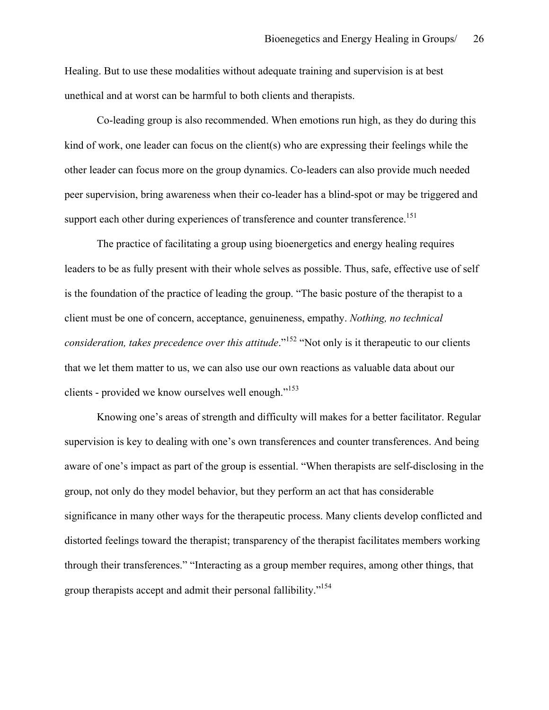Healing. But to use these modalities without adequate training and supervision is at best unethical and at worst can be harmful to both clients and therapists.

Co-leading group is also recommended. When emotions run high, as they do during this kind of work, one leader can focus on the client(s) who are expressing their feelings while the other leader can focus more on the group dynamics. Co-leaders can also provide much needed peer supervision, bring awareness when their co-leader has a blind-spot or may be triggered and support each other during experiences of transference and counter transference.<sup>151</sup>

The practice of facilitating a group using bioenergetics and energy healing requires leaders to be as fully present with their whole selves as possible. Thus, safe, effective use of self is the foundation of the practice of leading the group. "The basic posture of the therapist to a client must be one of concern, acceptance, genuineness, empathy. *Nothing, no technical consideration, takes precedence over this attitude*."<sup>152</sup> "Not only is it therapeutic to our clients that we let them matter to us, we can also use our own reactions as valuable data about our clients - provided we know ourselves well enough."<sup>153</sup>

Knowing one's areas of strength and difficulty will makes for a better facilitator. Regular supervision is key to dealing with one's own transferences and counter transferences. And being aware of one's impact as part of the group is essential. "When therapists are self-disclosing in the group, not only do they model behavior, but they perform an act that has considerable significance in many other ways for the therapeutic process. Many clients develop conflicted and distorted feelings toward the therapist; transparency of the therapist facilitates members working through their transferences." "Interacting as a group member requires, among other things, that group therapists accept and admit their personal fallibility."<sup>154</sup>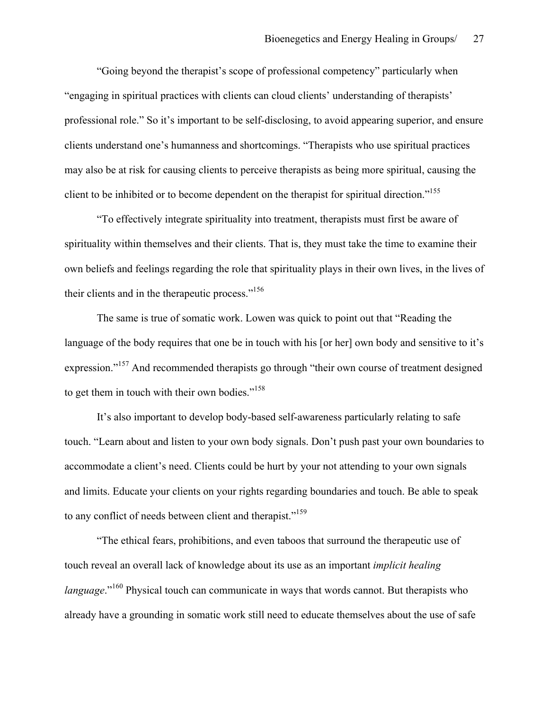"Going beyond the therapist's scope of professional competency" particularly when "engaging in spiritual practices with clients can cloud clients' understanding of therapists' professional role." So it's important to be self-disclosing, to avoid appearing superior, and ensure clients understand one's humanness and shortcomings. "Therapists who use spiritual practices may also be at risk for causing clients to perceive therapists as being more spiritual, causing the client to be inhibited or to become dependent on the therapist for spiritual direction."<sup>155</sup>

"To effectively integrate spirituality into treatment, therapists must first be aware of spirituality within themselves and their clients. That is, they must take the time to examine their own beliefs and feelings regarding the role that spirituality plays in their own lives, in the lives of their clients and in the therapeutic process."156

The same is true of somatic work. Lowen was quick to point out that "Reading the language of the body requires that one be in touch with his [or her] own body and sensitive to it's expression."<sup>157</sup> And recommended therapists go through "their own course of treatment designed to get them in touch with their own bodies."<sup>158</sup>

It's also important to develop body-based self-awareness particularly relating to safe touch. "Learn about and listen to your own body signals. Don't push past your own boundaries to accommodate a client's need. Clients could be hurt by your not attending to your own signals and limits. Educate your clients on your rights regarding boundaries and touch. Be able to speak to any conflict of needs between client and therapist."<sup>159</sup>

"The ethical fears, prohibitions, and even taboos that surround the therapeutic use of touch reveal an overall lack of knowledge about its use as an important *implicit healing language*."<sup>160</sup> Physical touch can communicate in ways that words cannot. But therapists who already have a grounding in somatic work still need to educate themselves about the use of safe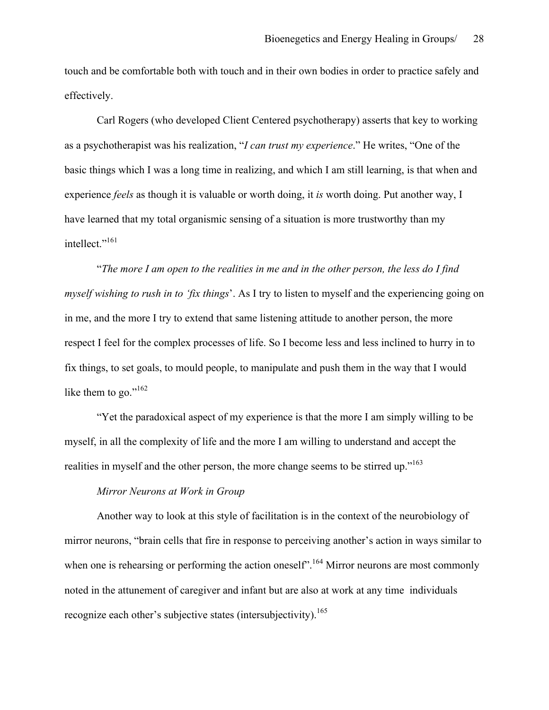touch and be comfortable both with touch and in their own bodies in order to practice safely and effectively.

Carl Rogers (who developed Client Centered psychotherapy) asserts that key to working as a psychotherapist was his realization, "*I can trust my experience*." He writes, "One of the basic things which I was a long time in realizing, and which I am still learning, is that when and experience *feels* as though it is valuable or worth doing, it *is* worth doing. Put another way, I have learned that my total organismic sensing of a situation is more trustworthy than my intellect."<sup>161</sup>

"*The more I am open to the realities in me and in the other person, the less do I find myself wishing to rush in to 'fix things*'. As I try to listen to myself and the experiencing going on in me, and the more I try to extend that same listening attitude to another person, the more respect I feel for the complex processes of life. So I become less and less inclined to hurry in to fix things, to set goals, to mould people, to manipulate and push them in the way that I would like them to go."<sup>162</sup>

"Yet the paradoxical aspect of my experience is that the more I am simply willing to be myself, in all the complexity of life and the more I am willing to understand and accept the realities in myself and the other person, the more change seems to be stirred up."<sup>163</sup>

## *Mirror Neurons at Work in Group*

Another way to look at this style of facilitation is in the context of the neurobiology of mirror neurons, "brain cells that fire in response to perceiving another's action in ways similar to when one is rehearsing or performing the action oneself<sup>". 164</sup> Mirror neurons are most commonly noted in the attunement of caregiver and infant but are also at work at any time individuals recognize each other's subjective states (intersubjectivity).<sup>165</sup>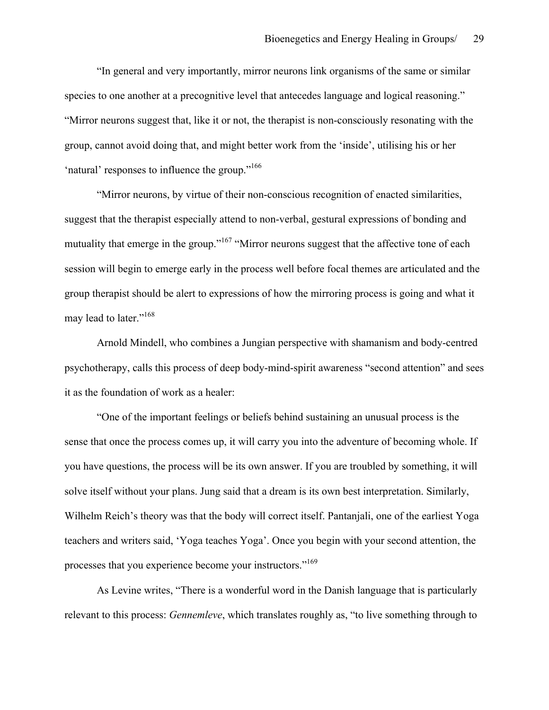"In general and very importantly, mirror neurons link organisms of the same or similar species to one another at a precognitive level that antecedes language and logical reasoning." "Mirror neurons suggest that, like it or not, the therapist is non-consciously resonating with the group, cannot avoid doing that, and might better work from the 'inside', utilising his or her 'natural' responses to influence the group."<sup>166</sup>

"Mirror neurons, by virtue of their non-conscious recognition of enacted similarities, suggest that the therapist especially attend to non-verbal, gestural expressions of bonding and mutuality that emerge in the group."<sup>167</sup> "Mirror neurons suggest that the affective tone of each session will begin to emerge early in the process well before focal themes are articulated and the group therapist should be alert to expressions of how the mirroring process is going and what it may lead to later."<sup>168</sup>

Arnold Mindell, who combines a Jungian perspective with shamanism and body-centred psychotherapy, calls this process of deep body-mind-spirit awareness "second attention" and sees it as the foundation of work as a healer:

"One of the important feelings or beliefs behind sustaining an unusual process is the sense that once the process comes up, it will carry you into the adventure of becoming whole. If you have questions, the process will be its own answer. If you are troubled by something, it will solve itself without your plans. Jung said that a dream is its own best interpretation. Similarly, Wilhelm Reich's theory was that the body will correct itself. Pantanjali, one of the earliest Yoga teachers and writers said, 'Yoga teaches Yoga'. Once you begin with your second attention, the processes that you experience become your instructors."<sup>169</sup>

As Levine writes, "There is a wonderful word in the Danish language that is particularly relevant to this process: *Gennemleve*, which translates roughly as, "to live something through to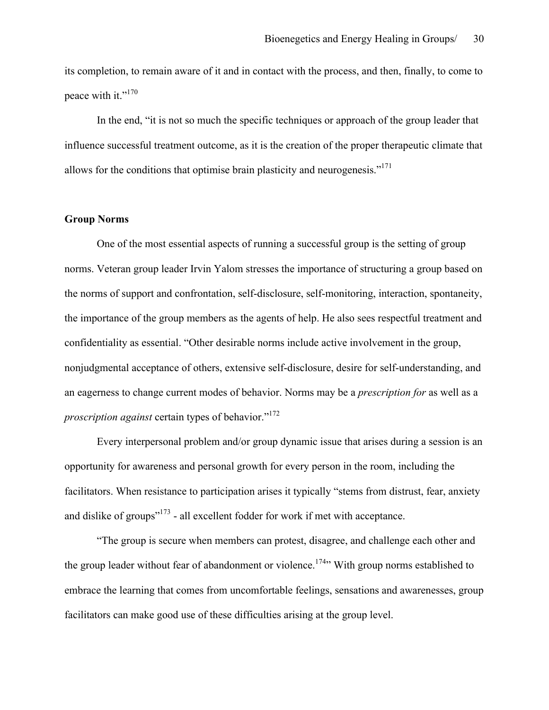its completion, to remain aware of it and in contact with the process, and then, finally, to come to peace with it."<sup>170</sup>

In the end, "it is not so much the specific techniques or approach of the group leader that influence successful treatment outcome, as it is the creation of the proper therapeutic climate that allows for the conditions that optimise brain plasticity and neurogenesis."<sup>171</sup>

### **Group Norms**

One of the most essential aspects of running a successful group is the setting of group norms. Veteran group leader Irvin Yalom stresses the importance of structuring a group based on the norms of support and confrontation, self-disclosure, self-monitoring, interaction, spontaneity, the importance of the group members as the agents of help. He also sees respectful treatment and confidentiality as essential. "Other desirable norms include active involvement in the group, nonjudgmental acceptance of others, extensive self-disclosure, desire for self-understanding, and an eagerness to change current modes of behavior. Norms may be a *prescription for* as well as a *proscription against* certain types of behavior."<sup>172</sup>

Every interpersonal problem and/or group dynamic issue that arises during a session is an opportunity for awareness and personal growth for every person in the room, including the facilitators. When resistance to participation arises it typically "stems from distrust, fear, anxiety and dislike of groups"173 - all excellent fodder for work if met with acceptance.

"The group is secure when members can protest, disagree, and challenge each other and the group leader without fear of abandonment or violence.<sup>174</sup>" With group norms established to embrace the learning that comes from uncomfortable feelings, sensations and awarenesses, group facilitators can make good use of these difficulties arising at the group level.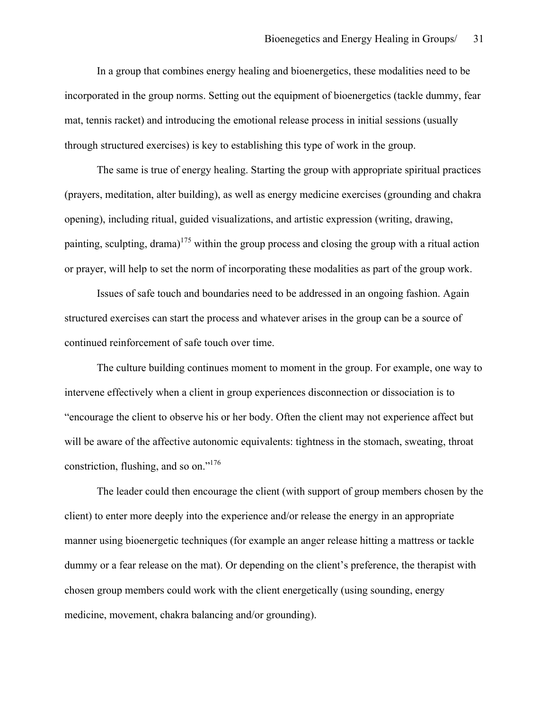In a group that combines energy healing and bioenergetics, these modalities need to be incorporated in the group norms. Setting out the equipment of bioenergetics (tackle dummy, fear mat, tennis racket) and introducing the emotional release process in initial sessions (usually through structured exercises) is key to establishing this type of work in the group.

The same is true of energy healing. Starting the group with appropriate spiritual practices (prayers, meditation, alter building), as well as energy medicine exercises (grounding and chakra opening), including ritual, guided visualizations, and artistic expression (writing, drawing, painting, sculpting, drama)<sup>175</sup> within the group process and closing the group with a ritual action or prayer, will help to set the norm of incorporating these modalities as part of the group work.

Issues of safe touch and boundaries need to be addressed in an ongoing fashion. Again structured exercises can start the process and whatever arises in the group can be a source of continued reinforcement of safe touch over time.

The culture building continues moment to moment in the group. For example, one way to intervene effectively when a client in group experiences disconnection or dissociation is to "encourage the client to observe his or her body. Often the client may not experience affect but will be aware of the affective autonomic equivalents: tightness in the stomach, sweating, throat constriction, flushing, and so on."<sup>176</sup>

The leader could then encourage the client (with support of group members chosen by the client) to enter more deeply into the experience and/or release the energy in an appropriate manner using bioenergetic techniques (for example an anger release hitting a mattress or tackle dummy or a fear release on the mat). Or depending on the client's preference, the therapist with chosen group members could work with the client energetically (using sounding, energy medicine, movement, chakra balancing and/or grounding).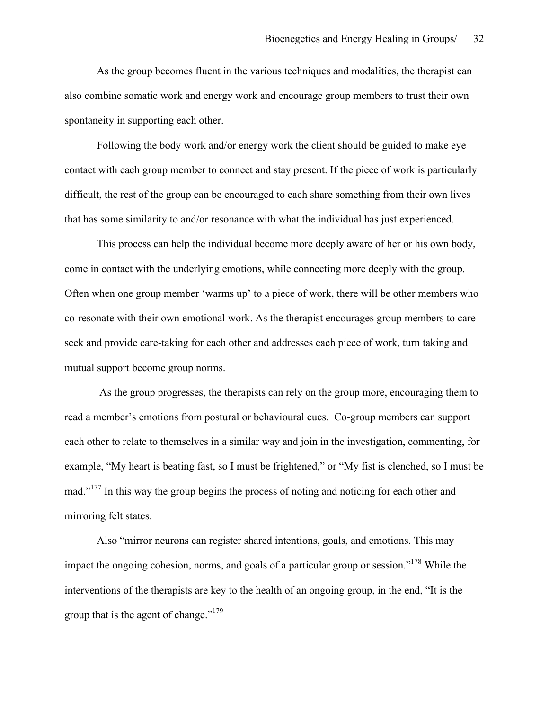As the group becomes fluent in the various techniques and modalities, the therapist can also combine somatic work and energy work and encourage group members to trust their own spontaneity in supporting each other.

Following the body work and/or energy work the client should be guided to make eye contact with each group member to connect and stay present. If the piece of work is particularly difficult, the rest of the group can be encouraged to each share something from their own lives that has some similarity to and/or resonance with what the individual has just experienced.

This process can help the individual become more deeply aware of her or his own body, come in contact with the underlying emotions, while connecting more deeply with the group. Often when one group member 'warms up' to a piece of work, there will be other members who co-resonate with their own emotional work. As the therapist encourages group members to careseek and provide care-taking for each other and addresses each piece of work, turn taking and mutual support become group norms.

As the group progresses, the therapists can rely on the group more, encouraging them to read a member's emotions from postural or behavioural cues. Co-group members can support each other to relate to themselves in a similar way and join in the investigation, commenting, for example, "My heart is beating fast, so I must be frightened," or "My fist is clenched, so I must be mad."<sup>177</sup> In this way the group begins the process of noting and noticing for each other and mirroring felt states.

Also "mirror neurons can register shared intentions, goals, and emotions. This may impact the ongoing cohesion, norms, and goals of a particular group or session."178 While the interventions of the therapists are key to the health of an ongoing group, in the end, "It is the group that is the agent of change."179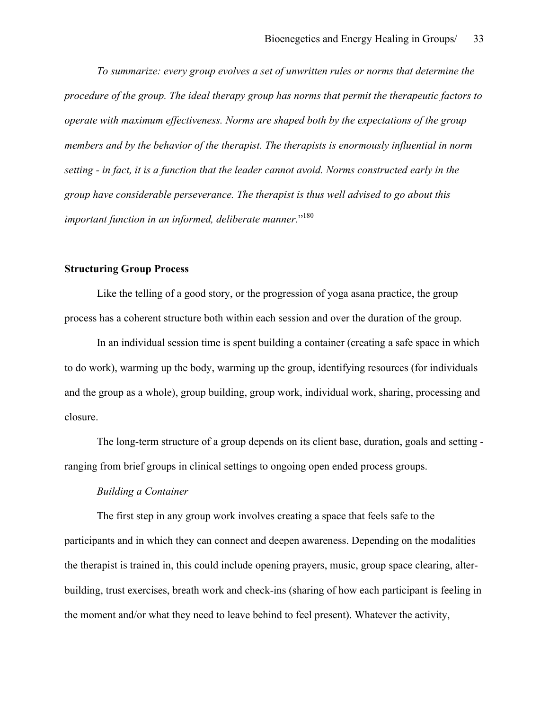*To summarize: every group evolves a set of unwritten rules or norms that determine the procedure of the group. The ideal therapy group has norms that permit the therapeutic factors to operate with maximum effectiveness. Norms are shaped both by the expectations of the group members and by the behavior of the therapist. The therapists is enormously influential in norm setting - in fact, it is a function that the leader cannot avoid. Norms constructed early in the group have considerable perseverance. The therapist is thus well advised to go about this important function in an informed, deliberate manner.*" 180

## **Structuring Group Process**

Like the telling of a good story, or the progression of yoga asana practice, the group process has a coherent structure both within each session and over the duration of the group.

In an individual session time is spent building a container (creating a safe space in which to do work), warming up the body, warming up the group, identifying resources (for individuals and the group as a whole), group building, group work, individual work, sharing, processing and closure.

The long-term structure of a group depends on its client base, duration, goals and setting ranging from brief groups in clinical settings to ongoing open ended process groups.

#### *Building a Container*

The first step in any group work involves creating a space that feels safe to the participants and in which they can connect and deepen awareness. Depending on the modalities the therapist is trained in, this could include opening prayers, music, group space clearing, alterbuilding, trust exercises, breath work and check-ins (sharing of how each participant is feeling in the moment and/or what they need to leave behind to feel present). Whatever the activity,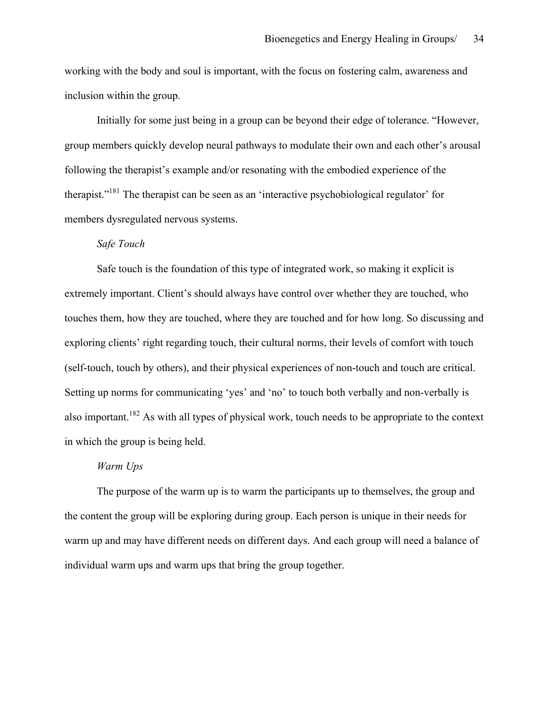working with the body and soul is important, with the focus on fostering calm, awareness and inclusion within the group.

Initially for some just being in a group can be beyond their edge of tolerance. "However, group members quickly develop neural pathways to modulate their own and each other's arousal following the therapist's example and/or resonating with the embodied experience of the therapist."<sup>181</sup> The therapist can be seen as an 'interactive psychobiological regulator' for members dysregulated nervous systems.

## *Safe Touch*

Safe touch is the foundation of this type of integrated work, so making it explicit is extremely important. Client's should always have control over whether they are touched, who touches them, how they are touched, where they are touched and for how long. So discussing and exploring clients' right regarding touch, their cultural norms, their levels of comfort with touch (self-touch, touch by others), and their physical experiences of non-touch and touch are critical. Setting up norms for communicating 'yes' and 'no' to touch both verbally and non-verbally is also important.<sup>182</sup> As with all types of physical work, touch needs to be appropriate to the context in which the group is being held.

#### *Warm Ups*

The purpose of the warm up is to warm the participants up to themselves, the group and the content the group will be exploring during group. Each person is unique in their needs for warm up and may have different needs on different days. And each group will need a balance of individual warm ups and warm ups that bring the group together.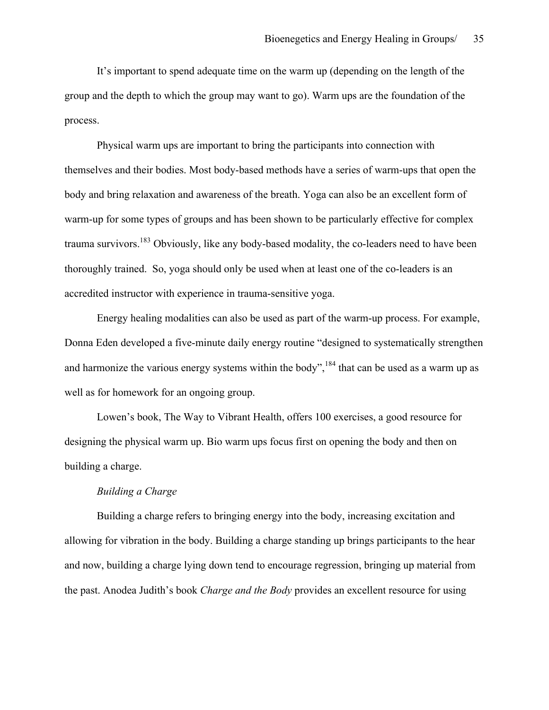It's important to spend adequate time on the warm up (depending on the length of the group and the depth to which the group may want to go). Warm ups are the foundation of the process.

Physical warm ups are important to bring the participants into connection with themselves and their bodies. Most body-based methods have a series of warm-ups that open the body and bring relaxation and awareness of the breath. Yoga can also be an excellent form of warm-up for some types of groups and has been shown to be particularly effective for complex trauma survivors.<sup>183</sup> Obviously, like any body-based modality, the co-leaders need to have been thoroughly trained. So, yoga should only be used when at least one of the co-leaders is an accredited instructor with experience in trauma-sensitive yoga.

Energy healing modalities can also be used as part of the warm-up process. For example, Donna Eden developed a five-minute daily energy routine "designed to systematically strengthen and harmonize the various energy systems within the body",  $184$  that can be used as a warm up as well as for homework for an ongoing group.

Lowen's book, The Way to Vibrant Health, offers 100 exercises, a good resource for designing the physical warm up. Bio warm ups focus first on opening the body and then on building a charge.

### *Building a Charge*

Building a charge refers to bringing energy into the body, increasing excitation and allowing for vibration in the body. Building a charge standing up brings participants to the hear and now, building a charge lying down tend to encourage regression, bringing up material from the past. Anodea Judith's book *Charge and the Body* provides an excellent resource for using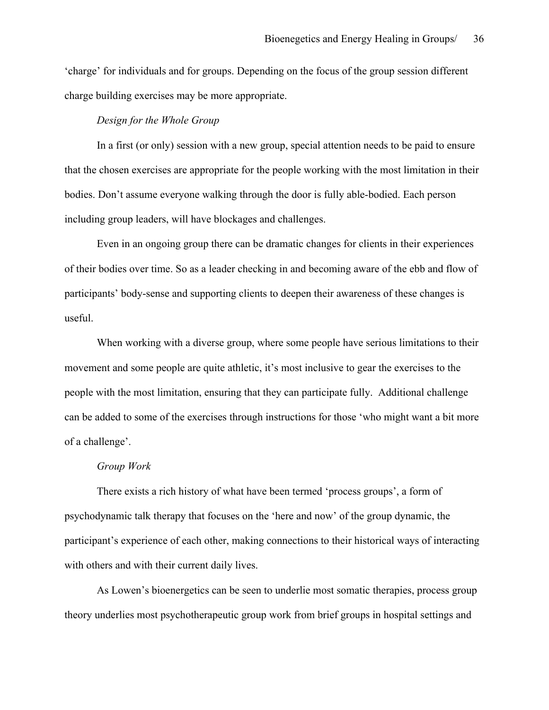'charge' for individuals and for groups. Depending on the focus of the group session different charge building exercises may be more appropriate.

### *Design for the Whole Group*

In a first (or only) session with a new group, special attention needs to be paid to ensure that the chosen exercises are appropriate for the people working with the most limitation in their bodies. Don't assume everyone walking through the door is fully able-bodied. Each person including group leaders, will have blockages and challenges.

Even in an ongoing group there can be dramatic changes for clients in their experiences of their bodies over time. So as a leader checking in and becoming aware of the ebb and flow of participants' body-sense and supporting clients to deepen their awareness of these changes is useful.

When working with a diverse group, where some people have serious limitations to their movement and some people are quite athletic, it's most inclusive to gear the exercises to the people with the most limitation, ensuring that they can participate fully. Additional challenge can be added to some of the exercises through instructions for those 'who might want a bit more of a challenge'.

#### *Group Work*

There exists a rich history of what have been termed 'process groups', a form of psychodynamic talk therapy that focuses on the 'here and now' of the group dynamic, the participant's experience of each other, making connections to their historical ways of interacting with others and with their current daily lives.

As Lowen's bioenergetics can be seen to underlie most somatic therapies, process group theory underlies most psychotherapeutic group work from brief groups in hospital settings and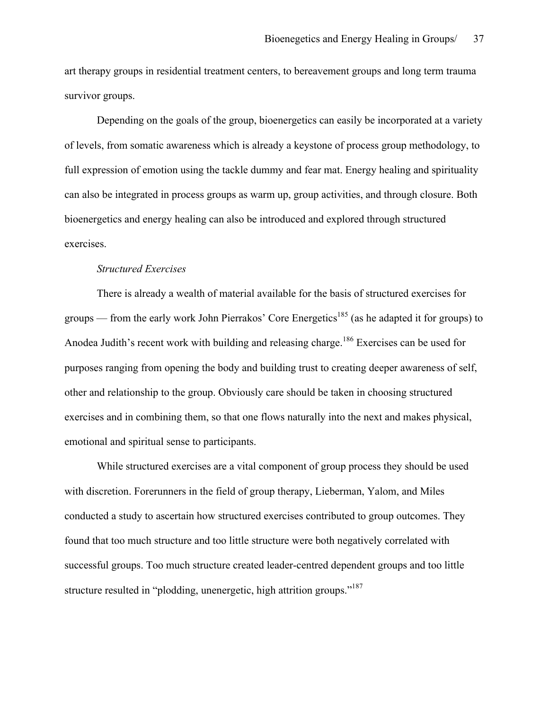art therapy groups in residential treatment centers, to bereavement groups and long term trauma survivor groups.

Depending on the goals of the group, bioenergetics can easily be incorporated at a variety of levels, from somatic awareness which is already a keystone of process group methodology, to full expression of emotion using the tackle dummy and fear mat. Energy healing and spirituality can also be integrated in process groups as warm up, group activities, and through closure. Both bioenergetics and energy healing can also be introduced and explored through structured exercises.

### *Structured Exercises*

There is already a wealth of material available for the basis of structured exercises for groups — from the early work John Pierrakos' Core Energetics<sup>185</sup> (as he adapted it for groups) to Anodea Judith's recent work with building and releasing charge.<sup>186</sup> Exercises can be used for purposes ranging from opening the body and building trust to creating deeper awareness of self, other and relationship to the group. Obviously care should be taken in choosing structured exercises and in combining them, so that one flows naturally into the next and makes physical, emotional and spiritual sense to participants.

While structured exercises are a vital component of group process they should be used with discretion. Forerunners in the field of group therapy, Lieberman, Yalom, and Miles conducted a study to ascertain how structured exercises contributed to group outcomes. They found that too much structure and too little structure were both negatively correlated with successful groups. Too much structure created leader-centred dependent groups and too little structure resulted in "plodding, unenergetic, high attrition groups."<sup>187</sup>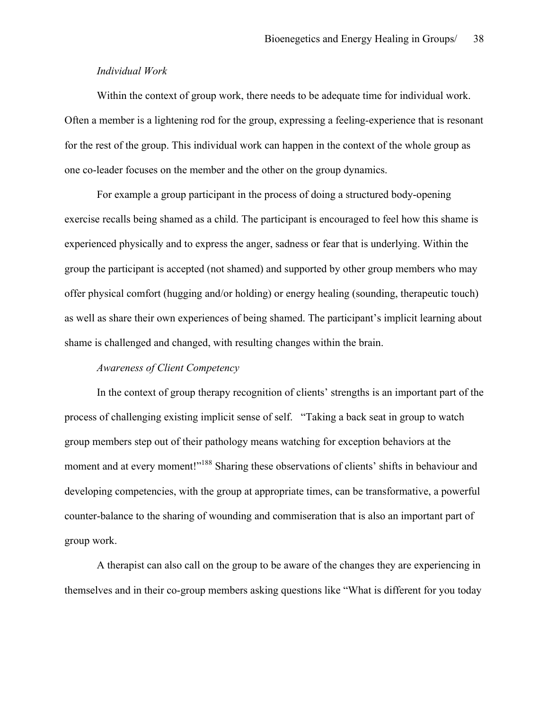### *Individual Work*

Within the context of group work, there needs to be adequate time for individual work. Often a member is a lightening rod for the group, expressing a feeling-experience that is resonant for the rest of the group. This individual work can happen in the context of the whole group as one co-leader focuses on the member and the other on the group dynamics.

For example a group participant in the process of doing a structured body-opening exercise recalls being shamed as a child. The participant is encouraged to feel how this shame is experienced physically and to express the anger, sadness or fear that is underlying. Within the group the participant is accepted (not shamed) and supported by other group members who may offer physical comfort (hugging and/or holding) or energy healing (sounding, therapeutic touch) as well as share their own experiences of being shamed. The participant's implicit learning about shame is challenged and changed, with resulting changes within the brain.

### *Awareness of Client Competency*

In the context of group therapy recognition of clients' strengths is an important part of the process of challenging existing implicit sense of self. "Taking a back seat in group to watch group members step out of their pathology means watching for exception behaviors at the moment and at every moment!"<sup>188</sup> Sharing these observations of clients' shifts in behaviour and developing competencies, with the group at appropriate times, can be transformative, a powerful counter-balance to the sharing of wounding and commiseration that is also an important part of group work.

A therapist can also call on the group to be aware of the changes they are experiencing in themselves and in their co-group members asking questions like "What is different for you today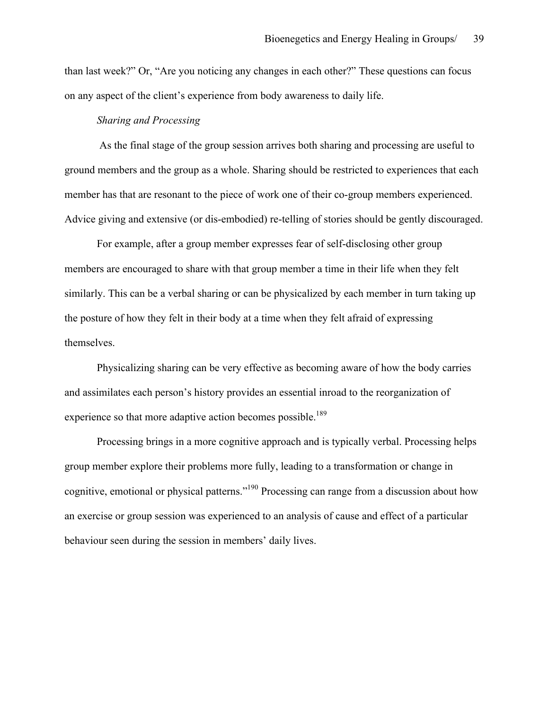than last week?" Or, "Are you noticing any changes in each other?" These questions can focus on any aspect of the client's experience from body awareness to daily life.

### *Sharing and Processing*

As the final stage of the group session arrives both sharing and processing are useful to ground members and the group as a whole. Sharing should be restricted to experiences that each member has that are resonant to the piece of work one of their co-group members experienced. Advice giving and extensive (or dis-embodied) re-telling of stories should be gently discouraged.

For example, after a group member expresses fear of self-disclosing other group members are encouraged to share with that group member a time in their life when they felt similarly. This can be a verbal sharing or can be physicalized by each member in turn taking up the posture of how they felt in their body at a time when they felt afraid of expressing themselves.

Physicalizing sharing can be very effective as becoming aware of how the body carries and assimilates each person's history provides an essential inroad to the reorganization of experience so that more adaptive action becomes possible.<sup>189</sup>

Processing brings in a more cognitive approach and is typically verbal. Processing helps group member explore their problems more fully, leading to a transformation or change in cognitive, emotional or physical patterns."<sup>190</sup> Processing can range from a discussion about how an exercise or group session was experienced to an analysis of cause and effect of a particular behaviour seen during the session in members' daily lives.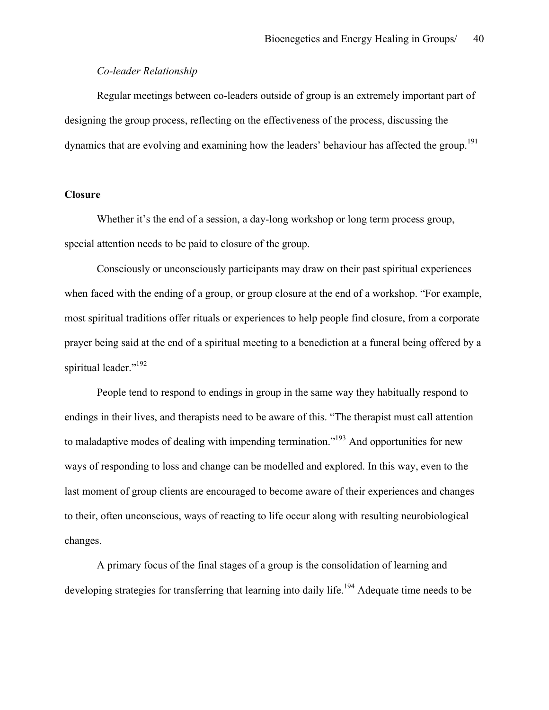### *Co-leader Relationship*

Regular meetings between co-leaders outside of group is an extremely important part of designing the group process, reflecting on the effectiveness of the process, discussing the dynamics that are evolving and examining how the leaders' behaviour has affected the group.<sup>191</sup>

## **Closure**

Whether it's the end of a session, a day-long workshop or long term process group, special attention needs to be paid to closure of the group.

Consciously or unconsciously participants may draw on their past spiritual experiences when faced with the ending of a group, or group closure at the end of a workshop. "For example, most spiritual traditions offer rituals or experiences to help people find closure, from a corporate prayer being said at the end of a spiritual meeting to a benediction at a funeral being offered by a spiritual leader."<sup>192</sup>

People tend to respond to endings in group in the same way they habitually respond to endings in their lives, and therapists need to be aware of this. "The therapist must call attention to maladaptive modes of dealing with impending termination."<sup>193</sup> And opportunities for new ways of responding to loss and change can be modelled and explored. In this way, even to the last moment of group clients are encouraged to become aware of their experiences and changes to their, often unconscious, ways of reacting to life occur along with resulting neurobiological changes.

A primary focus of the final stages of a group is the consolidation of learning and developing strategies for transferring that learning into daily life.<sup>194</sup> Adequate time needs to be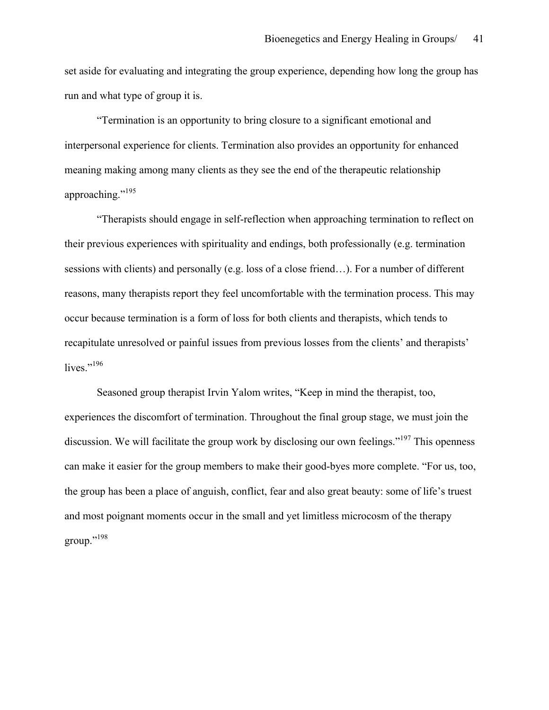set aside for evaluating and integrating the group experience, depending how long the group has run and what type of group it is.

"Termination is an opportunity to bring closure to a significant emotional and interpersonal experience for clients. Termination also provides an opportunity for enhanced meaning making among many clients as they see the end of the therapeutic relationship approaching."<sup>195</sup>

"Therapists should engage in self-reflection when approaching termination to reflect on their previous experiences with spirituality and endings, both professionally (e.g. termination sessions with clients) and personally (e.g. loss of a close friend…). For a number of different reasons, many therapists report they feel uncomfortable with the termination process. This may occur because termination is a form of loss for both clients and therapists, which tends to recapitulate unresolved or painful issues from previous losses from the clients' and therapists' lives $^{196}$ 

Seasoned group therapist Irvin Yalom writes, "Keep in mind the therapist, too, experiences the discomfort of termination. Throughout the final group stage, we must join the discussion. We will facilitate the group work by disclosing our own feelings."<sup>197</sup> This openness can make it easier for the group members to make their good-byes more complete. "For us, too, the group has been a place of anguish, conflict, fear and also great beauty: some of life's truest and most poignant moments occur in the small and yet limitless microcosm of the therapy group."<sup>198</sup>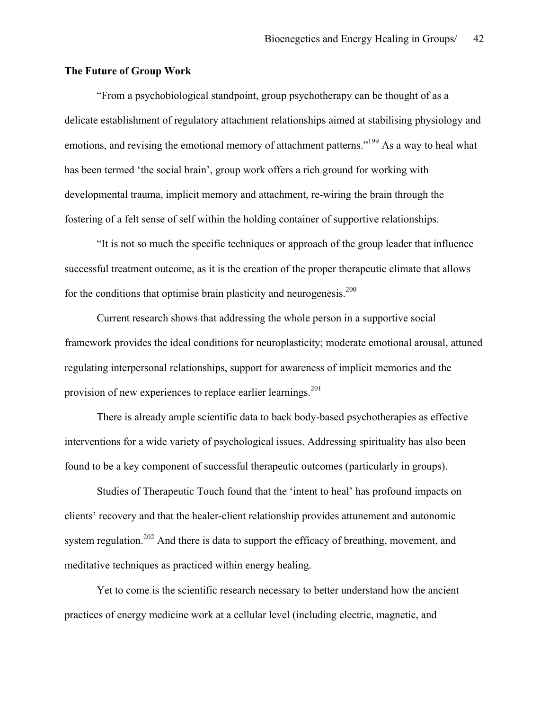### **The Future of Group Work**

"From a psychobiological standpoint, group psychotherapy can be thought of as a delicate establishment of regulatory attachment relationships aimed at stabilising physiology and emotions, and revising the emotional memory of attachment patterns."<sup>199</sup> As a way to heal what has been termed 'the social brain', group work offers a rich ground for working with developmental trauma, implicit memory and attachment, re-wiring the brain through the fostering of a felt sense of self within the holding container of supportive relationships.

"It is not so much the specific techniques or approach of the group leader that influence successful treatment outcome, as it is the creation of the proper therapeutic climate that allows for the conditions that optimise brain plasticity and neurogenesis.<sup>200</sup>

Current research shows that addressing the whole person in a supportive social framework provides the ideal conditions for neuroplasticity; moderate emotional arousal, attuned regulating interpersonal relationships, support for awareness of implicit memories and the provision of new experiences to replace earlier learnings.<sup>201</sup>

There is already ample scientific data to back body-based psychotherapies as effective interventions for a wide variety of psychological issues. Addressing spirituality has also been found to be a key component of successful therapeutic outcomes (particularly in groups).

Studies of Therapeutic Touch found that the 'intent to heal' has profound impacts on clients' recovery and that the healer-client relationship provides attunement and autonomic system regulation.<sup>202</sup> And there is data to support the efficacy of breathing, movement, and meditative techniques as practiced within energy healing.

Yet to come is the scientific research necessary to better understand how the ancient practices of energy medicine work at a cellular level (including electric, magnetic, and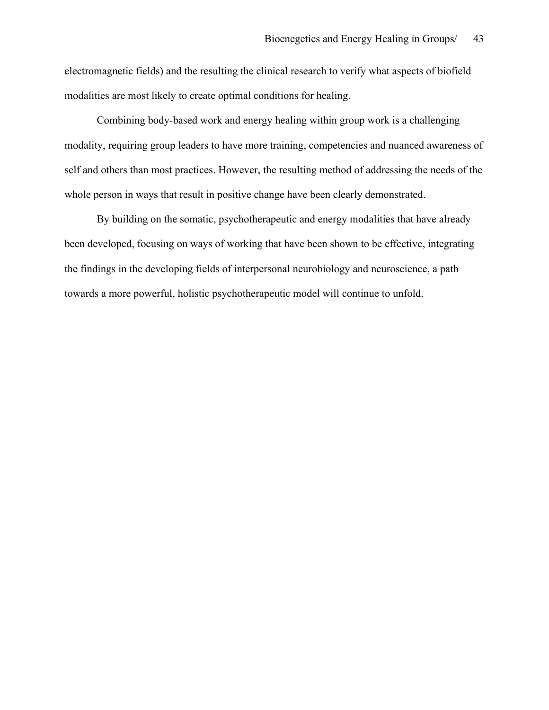electromagnetic fields) and the resulting the clinical research to verify what aspects of biofield modalities are most likely to create optimal conditions for healing.

Combining body-based work and energy healing within group work is a challenging modality, requiring group leaders to have more training, competencies and nuanced awareness of self and others than most practices. However, the resulting method of addressing the needs of the whole person in ways that result in positive change have been clearly demonstrated.

By building on the somatic, psychotherapeutic and energy modalities that have already been developed, focusing on ways of working that have been shown to be effective, integrating the findings in the developing fields of interpersonal neurobiology and neuroscience, a path towards a more powerful, holistic psychotherapeutic model will continue to unfold.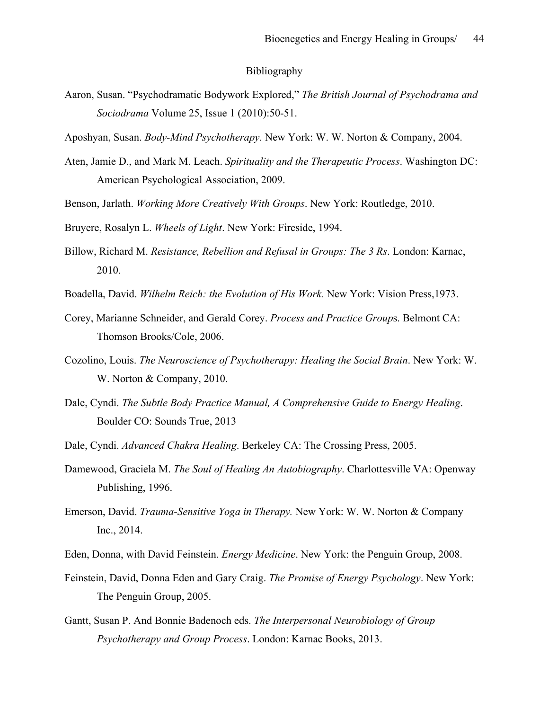#### Bibliography

- Aaron, Susan. "Psychodramatic Bodywork Explored," *The British Journal of Psychodrama and Sociodrama* Volume 25, Issue 1 (2010):50-51.
- Aposhyan, Susan. *Body-Mind Psychotherapy.* New York: W. W. Norton & Company, 2004.
- Aten, Jamie D., and Mark M. Leach. *Spirituality and the Therapeutic Process*. Washington DC: American Psychological Association, 2009.
- Benson, Jarlath. *Working More Creatively With Groups*. New York: Routledge, 2010.
- Bruyere, Rosalyn L. *Wheels of Light*. New York: Fireside, 1994.
- Billow, Richard M. *Resistance, Rebellion and Refusal in Groups: The 3 Rs*. London: Karnac, 2010.
- Boadella, David. *Wilhelm Reich: the Evolution of His Work.* New York: Vision Press,1973.
- Corey, Marianne Schneider, and Gerald Corey. *Process and Practice Group*s. Belmont CA: Thomson Brooks/Cole, 2006.
- Cozolino, Louis. *The Neuroscience of Psychotherapy: Healing the Social Brain*. New York: W. W. Norton & Company, 2010.
- Dale, Cyndi. *The Subtle Body Practice Manual, A Comprehensive Guide to Energy Healing*. Boulder CO: Sounds True, 2013
- Dale, Cyndi. *Advanced Chakra Healing*. Berkeley CA: The Crossing Press, 2005.
- Damewood, Graciela M. *The Soul of Healing An Autobiography*. Charlottesville VA: Openway Publishing, 1996.
- Emerson, David. *Trauma-Sensitive Yoga in Therapy.* New York: W. W. Norton & Company Inc., 2014.
- Eden, Donna, with David Feinstein. *Energy Medicine*. New York: the Penguin Group, 2008.
- Feinstein, David, Donna Eden and Gary Craig. *The Promise of Energy Psychology*. New York: The Penguin Group, 2005.
- Gantt, Susan P. And Bonnie Badenoch eds. *The Interpersonal Neurobiology of Group Psychotherapy and Group Process*. London: Karnac Books, 2013.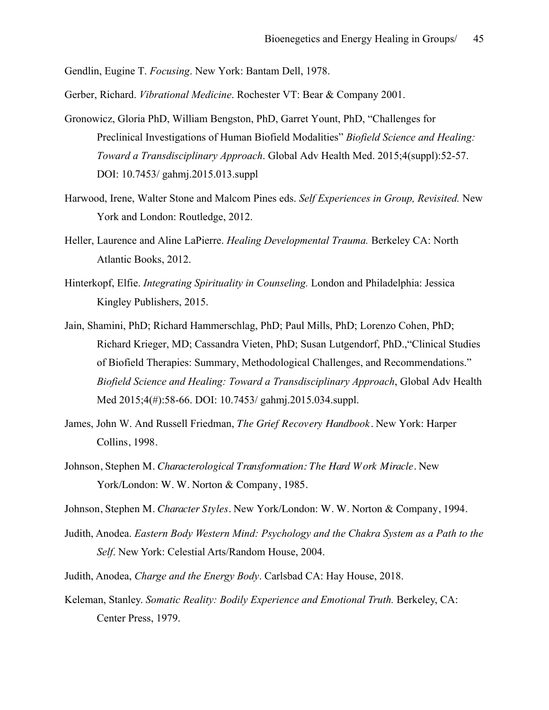Gendlin, Eugine T. *Focusing*. New York: Bantam Dell, 1978.

Gerber, Richard. *Vibrational Medicine*. Rochester VT: Bear & Company 2001.

- Gronowicz, Gloria PhD, William Bengston, PhD, Garret Yount, PhD, "Challenges for Preclinical Investigations of Human Biofield Modalities" *Biofield Science and Healing: Toward a Transdisciplinary Approach*. Global Adv Health Med. 2015;4(suppl):52-57. DOI: 10.7453/ gahmj.2015.013.suppl
- Harwood, Irene, Walter Stone and Malcom Pines eds. *Self Experiences in Group, Revisited.* New York and London: Routledge, 2012.
- Heller, Laurence and Aline LaPierre. *Healing Developmental Trauma.* Berkeley CA: North Atlantic Books, 2012.
- Hinterkopf, Elfie. *Integrating Spirituality in Counseling.* London and Philadelphia: Jessica Kingley Publishers, 2015.
- Jain, Shamini, PhD; Richard Hammerschlag, PhD; Paul Mills, PhD; Lorenzo Cohen, PhD; Richard Krieger, MD; Cassandra Vieten, PhD; Susan Lutgendorf, PhD.,"Clinical Studies of Biofield Therapies: Summary, Methodological Challenges, and Recommendations." *Biofield Science and Healing: Toward a Transdisciplinary Approach*, Global Adv Health Med 2015;4(#):58-66. DOI: 10.7453/ gahmj.2015.034.suppl.
- James, John W. And Russell Friedman, *The Grief Recovery Handbook.* New York: Harper Collins, 1998.
- Johnson, Stephen M. *Characterological Transformation: The Hard Work Miracle*. New York/London: W. W. Norton & Company, 1985.
- Johnson, Stephen M. *Character Styles*. New York/London: W. W. Norton & Company, 1994.
- Judith, Anodea. *Eastern Body Western Mind: Psychology and the Chakra System as a Path to the Self*. New York: Celestial Arts/Random House, 2004.
- Judith, Anodea, *Charge and the Energy Body*. Carlsbad CA: Hay House, 2018.
- Keleman, Stanley. *Somatic Reality: Bodily Experience and Emotional Truth.* Berkeley, CA: Center Press, 1979.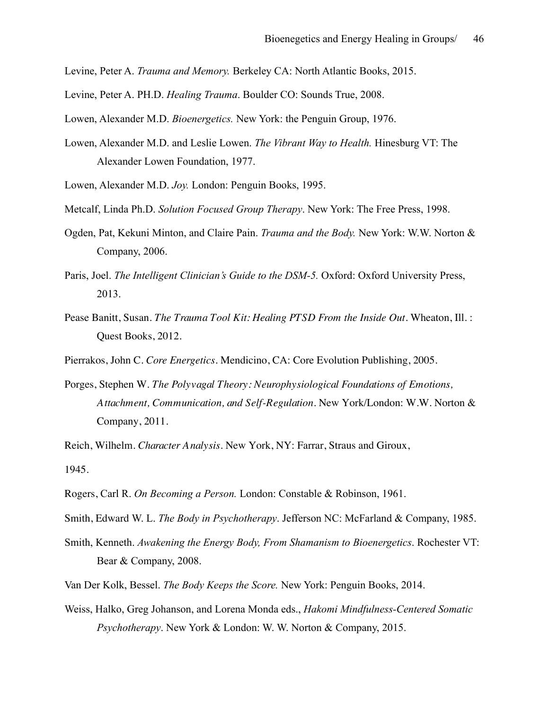Levine, Peter A. *Trauma and Memory.* Berkeley CA: North Atlantic Books, 2015.

- Levine, Peter A. PH.D. *Healing Trauma*. Boulder CO: Sounds True, 2008.
- Lowen, Alexander M.D. *Bioenergetics.* New York: the Penguin Group, 1976.
- Lowen, Alexander M.D. and Leslie Lowen. *The Vibrant Way to Health.* Hinesburg VT: The Alexander Lowen Foundation, 1977.
- Lowen, Alexander M.D. *Joy.* London: Penguin Books, 1995.
- Metcalf, Linda Ph.D. *Solution Focused Group Therapy*. New York: The Free Press, 1998.
- Ogden, Pat, Kekuni Minton, and Claire Pain. *Trauma and the Body.* New York: W.W. Norton & Company, 2006.
- Paris, Joel. *The Intelligent Clinician's Guide to the DSM-5.* Oxford: Oxford University Press, 2013.
- Pease Banitt, Susan. *The Trauma Tool Kit: Healing PTSD From the Inside Out*. Wheaton, Ill. : Quest Books, 2012.
- Pierrakos, John C. *Core Energetics*. Mendicino, CA: Core Evolution Publishing, 2005.
- Porges, Stephen W. *The Polyvagal Theory: Neurophysiological Foundations of Emotions, Attachment, Communication, and Self-Regulation*. New York/London: W.W. Norton & Company, 2011.

Reich, Wilhelm. *Character Analysis*. New York, NY: Farrar, Straus and Giroux, 1945.

- Rogers, Carl R. *On Becoming a Person.* London: Constable & Robinson, 1961.
- Smith, Edward W. L. *The Body in Psychotherapy*. Jefferson NC: McFarland & Company, 1985.
- Smith, Kenneth. *Awakening the Energy Body, From Shamanism to Bioenergetics*. Rochester VT: Bear & Company, 2008.
- Van Der Kolk, Bessel. *The Body Keeps the Score.* New York: Penguin Books, 2014.
- Weiss, Halko, Greg Johanson, and Lorena Monda eds., *Hakomi Mindfulness-Centered Somatic Psychotherapy*. New York & London: W. W. Norton & Company, 2015.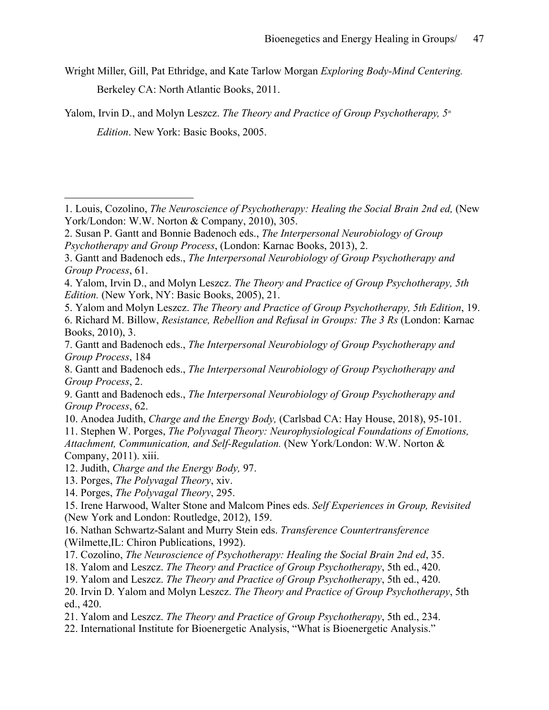Wright Miller, Gill, Pat Ethridge, and Kate Tarlow Morgan *Exploring Body-Mind Centering.* Berkeley CA: North Atlantic Books, 2011.

Yalom, Irvin D., and Molyn Leszcz. *The Theory and Practice of Group Psychotherapy*,  $5<sup>n</sup>$ *Edition*. New York: Basic Books, 2005.

5. Yalom and Molyn Leszcz. *The Theory and Practice of Group Psychotherapy, 5th Edition*, 19.

10. Anodea Judith, *Charge and the Energy Body,* (Carlsbad CA: Hay House, 2018), 95-101. 11. Stephen W. Porges, *The Polyvagal Theory: Neurophysiological Foundations of Emotions,* 

*Attachment, Communication, and Self-Regulation.* (New York/London: W.W. Norton & Company, 2011). xiii.

 $\overline{a}$ 

- 17. Cozolino, *The Neuroscience of Psychotherapy: Healing the Social Brain 2nd ed*, 35.
- 18. Yalom and Leszcz. *The Theory and Practice of Group Psychotherapy*, 5th ed., 420.
- 19. Yalom and Leszcz. *The Theory and Practice of Group Psychotherapy*, 5th ed., 420.
- 20. Irvin D. Yalom and Molyn Leszcz. *The Theory and Practice of Group Psychotherapy*, 5th ed., 420.
- 21. Yalom and Leszcz. *The Theory and Practice of Group Psychotherapy*, 5th ed., 234.
- 22. International Institute for Bioenergetic Analysis, "What is Bioenergetic Analysis."

<sup>1.</sup> Louis, Cozolino, *The Neuroscience of Psychotherapy: Healing the Social Brain 2nd ed,* (New York/London: W.W. Norton & Company, 2010), 305.

<sup>2.</sup> Susan P. Gantt and Bonnie Badenoch eds., *The Interpersonal Neurobiology of Group Psychotherapy and Group Process*, (London: Karnac Books, 2013), 2.

<sup>3.</sup> Gantt and Badenoch eds., *The Interpersonal Neurobiology of Group Psychotherapy and Group Process*, 61.

<sup>4.</sup> Yalom, Irvin D., and Molyn Leszcz. *The Theory and Practice of Group Psychotherapy, 5th Edition.* (New York, NY: Basic Books, 2005), 21.

<sup>6.</sup> Richard M. Billow, *Resistance, Rebellion and Refusal in Groups: The 3 Rs* (London: Karnac Books, 2010), 3.

<sup>7.</sup> Gantt and Badenoch eds., *The Interpersonal Neurobiology of Group Psychotherapy and Group Process*, 184

<sup>8.</sup> Gantt and Badenoch eds., *The Interpersonal Neurobiology of Group Psychotherapy and Group Process*, 2.

<sup>9.</sup> Gantt and Badenoch eds., *The Interpersonal Neurobiology of Group Psychotherapy and Group Process*, 62.

<sup>12.</sup> Judith, *Charge and the Energy Body,* 97.

<sup>13.</sup> Porges, *The Polyvagal Theory*, xiv.

<sup>14.</sup> Porges, *The Polyvagal Theory*, 295.

<sup>15.</sup> Irene Harwood, Walter Stone and Malcom Pines eds. *Self Experiences in Group, Revisited*  (New York and London: Routledge, 2012), 159.

<sup>16.</sup> Nathan Schwartz-Salant and Murry Stein eds. *Transference Countertransference* (Wilmette,IL: Chiron Publications, 1992).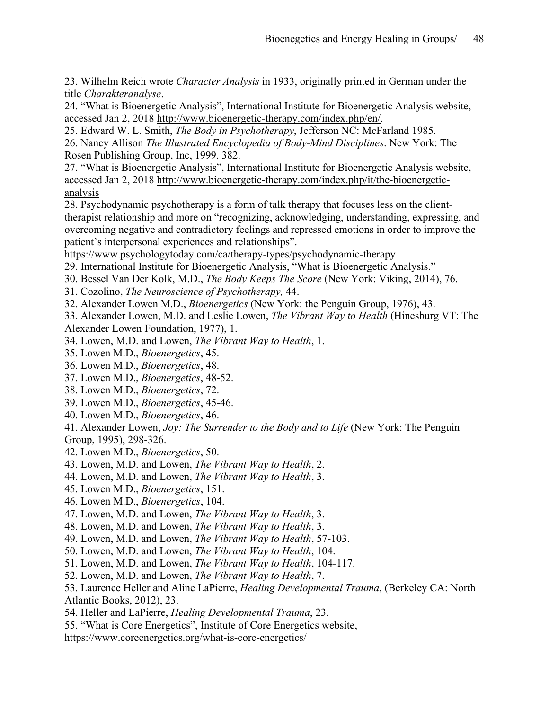23. Wilhelm Reich wrote *Character Analysis* in 1933, originally printed in German under the title *Charakteranalyse*.

24. "What is Bioenergetic Analysis", International Institute for Bioenergetic Analysis website, accessed Jan 2, 2018 http://www.bioenergetic-therapy.com/index.php/en/.

25. Edward W. L. Smith, *The Body in Psychotherapy*, Jefferson NC: McFarland 1985.

26. Nancy Allison *The Illustrated Encyclopedia of Body-Mind Disciplines*. New York: The Rosen Publishing Group, Inc, 1999. 382.

27. "What is Bioenergetic Analysis", International Institute for Bioenergetic Analysis website, accessed Jan 2, 2018 http://www.bioenergetic-therapy.com/index.php/it/the-bioenergeticanalysis

28. Psychodynamic psychotherapy is a form of talk therapy that focuses less on the clienttherapist relationship and more on "recognizing, acknowledging, understanding, expressing, and overcoming negative and contradictory feelings and repressed emotions in order to improve the patient's interpersonal experiences and relationships".

https://www.psychologytoday.com/ca/therapy-types/psychodynamic-therapy

- 29. International Institute for Bioenergetic Analysis, "What is Bioenergetic Analysis."
- 30. Bessel Van Der Kolk, M.D., *The Body Keeps The Score* (New York: Viking, 2014), 76.
- 31. Cozolino, *The Neuroscience of Psychotherapy,* 44.

32. Alexander Lowen M.D., *Bioenergetics* (New York: the Penguin Group, 1976), 43.

33. Alexander Lowen, M.D. and Leslie Lowen, *The Vibrant Way to Health* (Hinesburg VT: The Alexander Lowen Foundation, 1977), 1.

- 34. Lowen, M.D. and Lowen, *The Vibrant Way to Health*, 1.
- 35. Lowen M.D., *Bioenergetics*, 45.

 $\overline{a}$ 

- 36. Lowen M.D., *Bioenergetics*, 48.
- 37. Lowen M.D., *Bioenergetics*, 48-52.
- 38. Lowen M.D., *Bioenergetics*, 72.
- 39. Lowen M.D., *Bioenergetics*, 45-46.
- 40. Lowen M.D., *Bioenergetics*, 46.

41. Alexander Lowen, *Joy: The Surrender to the Body and to Life* (New York: The Penguin Group, 1995), 298-326.

- 42. Lowen M.D., *Bioenergetics*, 50.
- 43. Lowen, M.D. and Lowen, *The Vibrant Way to Health*, 2.
- 44. Lowen, M.D. and Lowen, *The Vibrant Way to Health*, 3.
- 45. Lowen M.D., *Bioenergetics*, 151.
- 46. Lowen M.D., *Bioenergetics*, 104.
- 47. Lowen, M.D. and Lowen, *The Vibrant Way to Health*, 3.
- 48. Lowen, M.D. and Lowen, *The Vibrant Way to Health*, 3.
- 49. Lowen, M.D. and Lowen, *The Vibrant Way to Health*, 57-103.
- 50. Lowen, M.D. and Lowen, *The Vibrant Way to Health*, 104.
- 51. Lowen, M.D. and Lowen, *The Vibrant Way to Health*, 104-117.
- 52. Lowen, M.D. and Lowen, *The Vibrant Way to Health*, 7.
- 53. Laurence Heller and Aline LaPierre, *Healing Developmental Trauma*, (Berkeley CA: North Atlantic Books, 2012), 23.
- 54. Heller and LaPierre, *Healing Developmental Trauma*, 23.
- 55. "What is Core Energetics", Institute of Core Energetics website,

https://www.coreenergetics.org/what-is-core-energetics/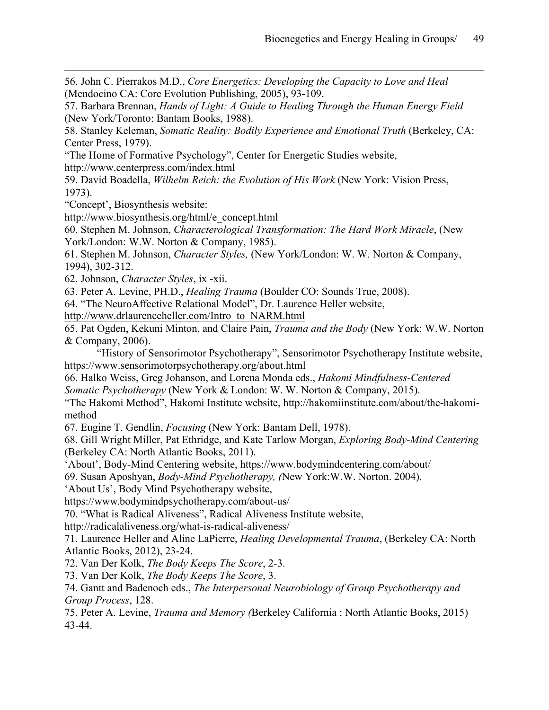56. John C. Pierrakos M.D., *Core Energetics: Developing the Capacity to Love and Heal* (Mendocino CA: Core Evolution Publishing, 2005), 93-109.

57. Barbara Brennan, *Hands of Light: A Guide to Healing Through the Human Energy Field* (New York/Toronto: Bantam Books, 1988).

58. Stanley Keleman, *Somatic Reality: Bodily Experience and Emotional Truth* (Berkeley, CA: Center Press, 1979).

"The Home of Formative Psychology", Center for Energetic Studies website,

http://www.centerpress.com/index.html

59. David Boadella, *Wilhelm Reich: the Evolution of His Work* (New York: Vision Press, 1973).

"Concept', Biosynthesis website:

 $\overline{a}$ 

http://www.biosynthesis.org/html/e\_concept.html

60. Stephen M. Johnson, *Characterological Transformation: The Hard Work Miracle*, (New York/London: W.W. Norton & Company, 1985).

61. Stephen M. Johnson, *Character Styles,* (New York/London: W. W. Norton & Company, 1994), 302-312.

62. Johnson, *Character Styles*, ix -xii.

63. Peter A. Levine, PH.D., *Healing Trauma* (Boulder CO: Sounds True, 2008).

64. "The NeuroAffective Relational Model", Dr. Laurence Heller website,

http://www.drlaurenceheller.com/Intro\_to\_NARM.html

65. Pat Ogden, Kekuni Minton, and Claire Pain, *Trauma and the Body* (New York: W.W. Norton & Company, 2006).

"History of Sensorimotor Psychotherapy", Sensorimotor Psychotherapy Institute website, https://www.sensorimotorpsychotherapy.org/about.html

66. Halko Weiss, Greg Johanson, and Lorena Monda eds., *Hakomi Mindfulness-Centered* 

*Somatic Psychotherapy* (New York & London: W. W. Norton & Company, 2015).

"The Hakomi Method", Hakomi Institute website, http://hakomiinstitute.com/about/the-hakomimethod

67. Eugine T. Gendlin, *Focusing* (New York: Bantam Dell, 1978).

68. Gill Wright Miller, Pat Ethridge, and Kate Tarlow Morgan, *Exploring Body-Mind Centering*  (Berkeley CA: North Atlantic Books, 2011).

'About', Body-Mind Centering website, https://www.bodymindcentering.com/about/

69. Susan Aposhyan, *Body-Mind Psychotherapy, (*New York:W.W. Norton. 2004).

'About Us', Body Mind Psychotherapy website,

https://www.bodymindpsychotherapy.com/about-us/

70. "What is Radical Aliveness", Radical Aliveness Institute website,

http://radicalaliveness.org/what-is-radical-aliveness/

71. Laurence Heller and Aline LaPierre, *Healing Developmental Trauma*, (Berkeley CA: North Atlantic Books, 2012), 23-24.

72. Van Der Kolk, *The Body Keeps The Score*, 2-3.

73. Van Der Kolk, *The Body Keeps The Score*, 3.

74. Gantt and Badenoch eds., *The Interpersonal Neurobiology of Group Psychotherapy and Group Process*, 128.

75. Peter A. Levine, *Trauma and Memory (*Berkeley California : North Atlantic Books, 2015) 43-44.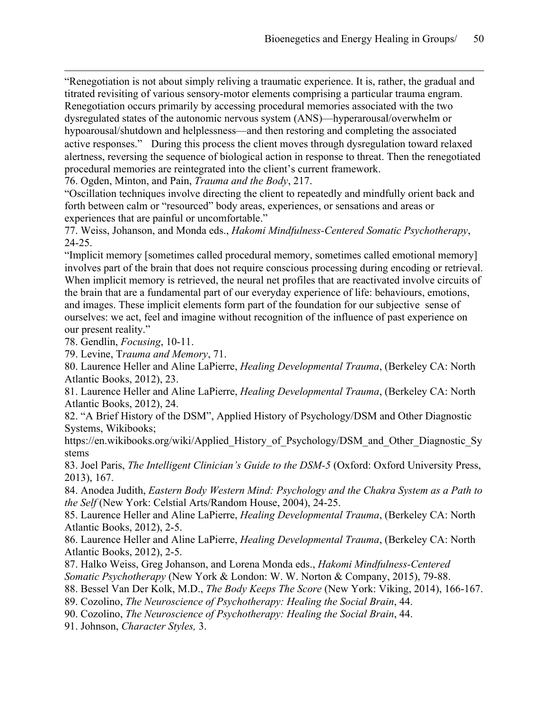"Renegotiation is not about simply reliving a traumatic experience. It is, rather, the gradual and titrated revisiting of various sensory-motor elements comprising a particular trauma engram. Renegotiation occurs primarily by accessing procedural memories associated with the two dysregulated states of the autonomic nervous system (ANS)—hyperarousal/overwhelm or hypoarousal/shutdown and helplessness—and then restoring and completing the associated active responses." During this process the client moves through dysregulation toward relaxed alertness, reversing the sequence of biological action in response to threat. Then the renegotiated procedural memories are reintegrated into the client's current framework.

76. Ogden, Minton, and Pain, *Trauma and the Body*, 217.

"Oscillation techniques involve directing the client to repeatedly and mindfully orient back and forth between calm or "resourced" body areas, experiences, or sensations and areas or experiences that are painful or uncomfortable."

77. Weiss, Johanson, and Monda eds., *Hakomi Mindfulness-Centered Somatic Psychotherapy*, 24-25.

"Implicit memory [sometimes called procedural memory, sometimes called emotional memory] involves part of the brain that does not require conscious processing during encoding or retrieval. When implicit memory is retrieved, the neural net profiles that are reactivated involve circuits of the brain that are a fundamental part of our everyday experience of life: behaviours, emotions, and images. These implicit elements form part of the foundation for our subjective sense of ourselves: we act, feel and imagine without recognition of the influence of past experience on our present reality."

78. Gendlin, *Focusing*, 10-11.

 $\overline{a}$ 

79. Levine, T*rauma and Memory*, 71.

80. Laurence Heller and Aline LaPierre, *Healing Developmental Trauma*, (Berkeley CA: North Atlantic Books, 2012), 23.

81. Laurence Heller and Aline LaPierre, *Healing Developmental Trauma*, (Berkeley CA: North Atlantic Books, 2012), 24.

82. "A Brief History of the DSM", Applied History of Psychology/DSM and Other Diagnostic Systems, Wikibooks;

https://en.wikibooks.org/wiki/Applied History of Psychology/DSM and Other Diagnostic Sy stems

83. Joel Paris, *The Intelligent Clinician's Guide to the DSM-5* (Oxford: Oxford University Press, 2013), 167.

84. Anodea Judith, *Eastern Body Western Mind: Psychology and the Chakra System as a Path to the Self* (New York: Celstial Arts/Random House, 2004), 24-25.

85. Laurence Heller and Aline LaPierre, *Healing Developmental Trauma*, (Berkeley CA: North Atlantic Books, 2012), 2-5.

86. Laurence Heller and Aline LaPierre, *Healing Developmental Trauma*, (Berkeley CA: North Atlantic Books, 2012), 2-5.

87. Halko Weiss, Greg Johanson, and Lorena Monda eds., *Hakomi Mindfulness-Centered Somatic Psychotherapy* (New York & London: W. W. Norton & Company, 2015), 79-88.

88. Bessel Van Der Kolk, M.D., *The Body Keeps The Score* (New York: Viking, 2014), 166-167.

89. Cozolino, *The Neuroscience of Psychotherapy: Healing the Social Brain*, 44.

90. Cozolino, *The Neuroscience of Psychotherapy: Healing the Social Brain*, 44.

91. Johnson, *Character Styles,* 3.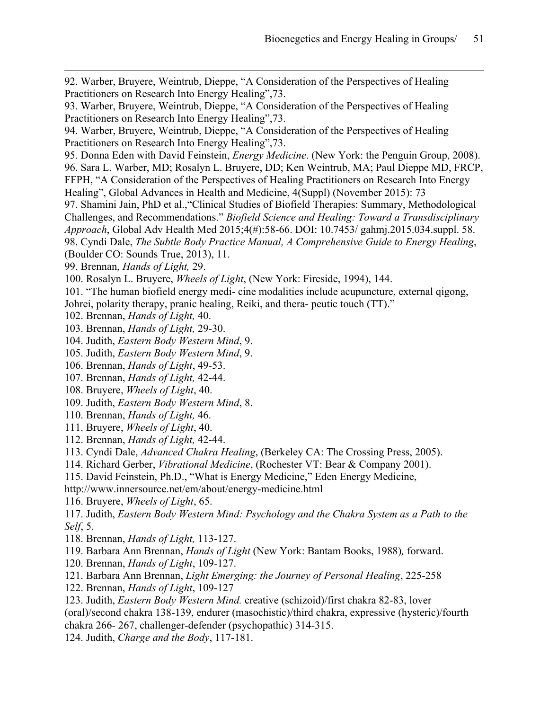92. Warber, Bruyere, Weintrub, Dieppe, "A Consideration of the Perspectives of Healing Practitioners on Research Into Energy Healing",73.

93. Warber, Bruyere, Weintrub, Dieppe, "A Consideration of the Perspectives of Healing Practitioners on Research Into Energy Healing",73.

94. Warber, Bruyere, Weintrub, Dieppe, "A Consideration of the Perspectives of Healing Practitioners on Research Into Energy Healing",73.

95. Donna Eden with David Feinstein, *Energy Medicine*. (New York: the Penguin Group, 2008). 96. Sara L. Warber, MD; Rosalyn L. Bruyere, DD; Ken Weintrub, MA; Paul Dieppe MD, FRCP, FFPH, "A Consideration of the Perspectives of Healing Practitioners on Research Into Energy

Healing", Global Advances in Health and Medicine, 4(Suppl) (November 2015): 73

97. Shamini Jain, PhD et al.,"Clinical Studies of Biofield Therapies: Summary, Methodological Challenges, and Recommendations." *Biofield Science and Healing: Toward a Transdisciplinary Approach*, Global Adv Health Med 2015;4(#):58-66. DOI: 10.7453/ gahmj.2015.034.suppl. 58. 98. Cyndi Dale, *The Subtle Body Practice Manual, A Comprehensive Guide to Energy Healing*, (Boulder CO: Sounds True, 2013), 11.

99. Brennan, *Hands of Light,* 29.

 $\overline{a}$ 

100. Rosalyn L. Bruyere, *Wheels of Light*, (New York: Fireside, 1994), 144.

101. "The human biofield energy medi- cine modalities include acupuncture, external qigong,

Johrei, polarity therapy, pranic healing, Reiki, and thera- peutic touch (TT)."

- 102. Brennan, *Hands of Light,* 40.
- 103. Brennan, *Hands of Light,* 29-30.
- 104. Judith, *Eastern Body Western Mind*, 9.
- 105. Judith, *Eastern Body Western Mind*, 9.
- 106. Brennan, *Hands of Light*, 49-53.
- 107. Brennan, *Hands of Light,* 42-44.
- 108. Bruyere, *Wheels of Light*, 40.
- 109. Judith, *Eastern Body Western Mind*, 8.
- 110. Brennan, *Hands of Light,* 46.
- 111. Bruyere, *Wheels of Light*, 40.
- 112. Brennan, *Hands of Light,* 42-44.
- 113. Cyndi Dale, *Advanced Chakra Healing*, (Berkeley CA: The Crossing Press, 2005).
- 114. Richard Gerber, *Vibrational Medicine*, (Rochester VT: Bear & Company 2001).
- 115. David Feinstein, Ph.D., "What is Energy Medicine," Eden Energy Medicine,
- http://www.innersource.net/em/about/energy-medicine.html

116. Bruyere, *Wheels of Light*, 65.

117. Judith, *Eastern Body Western Mind: Psychology and the Chakra System as a Path to the Self*, 5.

- 118. Brennan, *Hands of Light,* 113-127.
- 119. Barbara Ann Brennan, *Hands of Light* (New York: Bantam Books, 1988)*,* forward.
- 120. Brennan, *Hands of Light*, 109-127.
- 121. Barbara Ann Brennan, *Light Emerging: the Journey of Personal Healing*, 225-258
- 122. Brennan, *Hands of Light*, 109-127
- 123. Judith, *Eastern Body Western Mind.* creative (schizoid)/first chakra 82-83, lover

(oral)/second chakra 138-139, endurer (masochistic)/third chakra, expressive (hysteric)/fourth chakra 266- 267, challenger-defender (psychopathic) 314-315.

124. Judith, *Charge and the Body*, 117-181.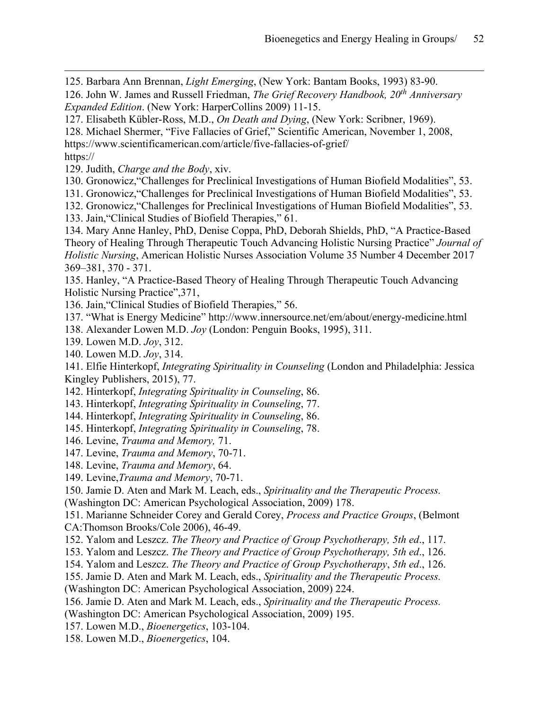125. Barbara Ann Brennan, *Light Emerging*, (New York: Bantam Books, 1993) 83-90.

126. John W. James and Russell Friedman, *The Grief Recovery Handbook, 20th Anniversary Expanded Edition*. (New York: HarperCollins 2009) 11-15.

127. Elisabeth Kübler-Ross, M.D., *On Death and Dying*, (New York: Scribner, 1969).

128. Michael Shermer, "Five Fallacies of Grief," Scientific American, November 1, 2008,

https://www.scientificamerican.com/article/five-fallacies-of-grief/

https://

 $\overline{a}$ 

129. Judith, *Charge and the Body*, xiv.

130. Gronowicz,"Challenges for Preclinical Investigations of Human Biofield Modalities", 53.

131. Gronowicz,"Challenges for Preclinical Investigations of Human Biofield Modalities", 53.

132. Gronowicz,"Challenges for Preclinical Investigations of Human Biofield Modalities", 53.

133. Jain,"Clinical Studies of Biofield Therapies," 61.

134. Mary Anne Hanley, PhD, Denise Coppa, PhD, Deborah Shields, PhD, "A Practice-Based Theory of Healing Through Therapeutic Touch Advancing Holistic Nursing Practice" *Journal of Holistic Nursing*, American Holistic Nurses Association Volume 35 Number 4 December 2017 369–381, 370 - 371.

135. Hanley, "A Practice-Based Theory of Healing Through Therapeutic Touch Advancing Holistic Nursing Practice",371,

136. Jain,"Clinical Studies of Biofield Therapies," 56.

137. "What is Energy Medicine" http://www.innersource.net/em/about/energy-medicine.html

138. Alexander Lowen M.D. *Joy* (London: Penguin Books, 1995), 311.

139. Lowen M.D. *Joy*, 312.

140. Lowen M.D. *Joy*, 314.

141. Elfie Hinterkopf, *Integrating Spirituality in Counseling* (London and Philadelphia: Jessica Kingley Publishers, 2015), 77.

142. Hinterkopf, *Integrating Spirituality in Counseling*, 86.

143. Hinterkopf, *Integrating Spirituality in Counseling*, 77.

144. Hinterkopf, *Integrating Spirituality in Counseling*, 86.

145. Hinterkopf, *Integrating Spirituality in Counseling*, 78.

146. Levine, *Trauma and Memory,* 71.

147. Levine, *Trauma and Memory*, 70-71.

148. Levine, *Trauma and Memory*, 64.

149. Levine,*Trauma and Memory*, 70-71.

150. Jamie D. Aten and Mark M. Leach, eds., *Spirituality and the Therapeutic Process.*

(Washington DC: American Psychological Association, 2009) 178.

151. Marianne Schneider Corey and Gerald Corey, *Process and Practice Groups*, (Belmont CA:Thomson Brooks/Cole 2006), 46-49.

152. Yalom and Leszcz. *The Theory and Practice of Group Psychotherapy, 5th ed*., 117.

153. Yalom and Leszcz. *The Theory and Practice of Group Psychotherapy, 5th ed*., 126.

154. Yalom and Leszcz. *The Theory and Practice of Group Psychotherapy*, *5th ed*., 126.

155. Jamie D. Aten and Mark M. Leach, eds., *Spirituality and the Therapeutic Process.*

(Washington DC: American Psychological Association, 2009) 224.

156. Jamie D. Aten and Mark M. Leach, eds., *Spirituality and the Therapeutic Process.* (Washington DC: American Psychological Association, 2009) 195.

157. Lowen M.D., *Bioenergetics*, 103-104.

158. Lowen M.D., *Bioenergetics*, 104.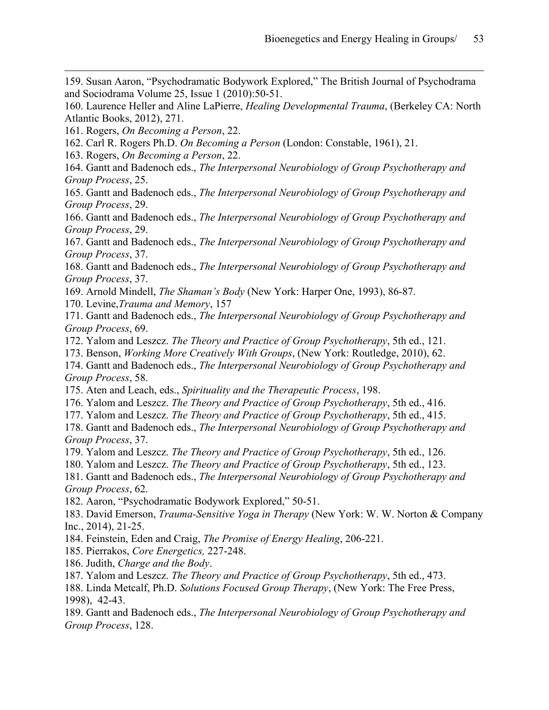159. Susan Aaron, "Psychodramatic Bodywork Explored," The British Journal of Psychodrama and Sociodrama Volume 25, Issue 1 (2010):50-51.

160. Laurence Heller and Aline LaPierre, *Healing Developmental Trauma*, (Berkeley CA: North Atlantic Books, 2012), 271.

161. Rogers, *On Becoming a Person*, 22.

 $\overline{a}$ 

162. Carl R. Rogers Ph.D. *On Becoming a Person* (London: Constable, 1961), 21.

163. Rogers, *On Becoming a Person*, 22.

164. Gantt and Badenoch eds., *The Interpersonal Neurobiology of Group Psychotherapy and Group Process*, 25.

165. Gantt and Badenoch eds., *The Interpersonal Neurobiology of Group Psychotherapy and Group Process*, 29.

166. Gantt and Badenoch eds., *The Interpersonal Neurobiology of Group Psychotherapy and Group Process*, 29.

167. Gantt and Badenoch eds., *The Interpersonal Neurobiology of Group Psychotherapy and Group Process*, 37.

168. Gantt and Badenoch eds., *The Interpersonal Neurobiology of Group Psychotherapy and Group Process*, 37.

169. Arnold Mindell, *The Shaman's Body* (New York: Harper One, 1993), 86-87.

170. Levine,*Trauma and Memory*, 157

171. Gantt and Badenoch eds., *The Interpersonal Neurobiology of Group Psychotherapy and Group Process*, 69.

172. Yalom and Leszcz. *The Theory and Practice of Group Psychotherapy*, 5th ed., 121.

173. Benson, *Working More Creatively With Groups*, (New York: Routledge, 2010), 62.

174. Gantt and Badenoch eds., *The Interpersonal Neurobiology of Group Psychotherapy and Group Process*, 58.

175. Aten and Leach, eds., *Spirituality and the Therapeutic Process*, 198.

176. Yalom and Leszcz. *The Theory and Practice of Group Psychotherapy*, 5th ed., 416.

177. Yalom and Leszcz. *The Theory and Practice of Group Psychotherapy*, 5th ed., 415.

178. Gantt and Badenoch eds., *The Interpersonal Neurobiology of Group Psychotherapy and Group Process*, 37.

179. Yalom and Leszcz. *The Theory and Practice of Group Psychotherapy*, 5th ed., 126.

180. Yalom and Leszcz. *The Theory and Practice of Group Psychotherapy*, 5th ed., 123.

181. Gantt and Badenoch eds., *The Interpersonal Neurobiology of Group Psychotherapy and Group Process*, 62.

182. Aaron, "Psychodramatic Bodywork Explored," 50-51.

183. David Emerson, *Trauma-Sensitive Yoga in Therapy* (New York: W. W. Norton & Company Inc., 2014), 21-25.

- 184. Feinstein, Eden and Craig, *The Promise of Energy Healing*, 206-221.
- 185. Pierrakos, *Core Energetics,* 227-248.
- 186. Judith, *Charge and the Body*.
- 187. Yalom and Leszcz. *The Theory and Practice of Group Psychotherapy*, 5th ed., 473.

188. Linda Metcalf, Ph.D. *Solutions Focused Group Therapy*, (New York: The Free Press, 1998), 42-43.

189. Gantt and Badenoch eds., *The Interpersonal Neurobiology of Group Psychotherapy and Group Process*, 128.